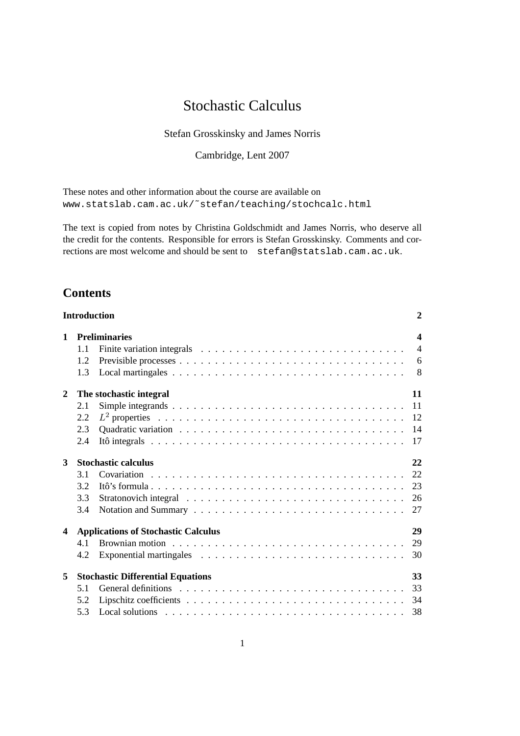# Stochastic Calculus

Stefan Grosskinsky and James Norris

Cambridge, Lent 2007

These notes and other information about the course are available on [www.statslab.cam.ac.uk/˜stefan/teaching/stochcalc.html](www.statslab.cam.ac.uk/~stefan/teaching/stochcalc.html)

The text is copied from notes by Christina Goldschmidt and James Norris, who deserve all the credit for the contents. Responsible for errors is Stefan Grosskinsky. Comments and corrections are most welcome and should be sent to stefan@statslab.cam.ac.uk.

## **Contents**

|              | <b>Introduction</b>                              |                                                                                                     | $\boldsymbol{2}$ |  |
|--------------|--------------------------------------------------|-----------------------------------------------------------------------------------------------------|------------------|--|
| $\mathbf{1}$ |                                                  | <b>Preliminaries</b>                                                                                | $\boldsymbol{4}$ |  |
|              | 1.1                                              | Finite variation integrals $\ldots \ldots \ldots \ldots \ldots \ldots \ldots \ldots \ldots$         | $\overline{4}$   |  |
|              | 1.2                                              |                                                                                                     | 6                |  |
|              | 1.3                                              |                                                                                                     | 8                |  |
| 2            | 11<br>The stochastic integral                    |                                                                                                     |                  |  |
|              | 2.1                                              |                                                                                                     | 11               |  |
|              | 2.2                                              |                                                                                                     | 12               |  |
|              | 2.3                                              |                                                                                                     | 14               |  |
|              | 2.4                                              | Itô integrals $\ldots \ldots \ldots \ldots \ldots \ldots \ldots \ldots \ldots \ldots \ldots \ldots$ | 17               |  |
| 3            | <b>Stochastic calculus</b>                       |                                                                                                     |                  |  |
|              | 3.1                                              |                                                                                                     | 22               |  |
|              | 3.2                                              |                                                                                                     | 23               |  |
|              | 3.3                                              |                                                                                                     | 26               |  |
|              | 3.4                                              |                                                                                                     | 27               |  |
| 4            | <b>Applications of Stochastic Calculus</b><br>29 |                                                                                                     |                  |  |
|              | 4.1                                              |                                                                                                     | 29               |  |
|              | 4.2                                              |                                                                                                     | 30               |  |
| 5            | <b>Stochastic Differential Equations</b><br>33   |                                                                                                     |                  |  |
|              | 5.1                                              |                                                                                                     | 33               |  |
|              | 5.2                                              |                                                                                                     | 34               |  |
|              | 5.3                                              |                                                                                                     | 38               |  |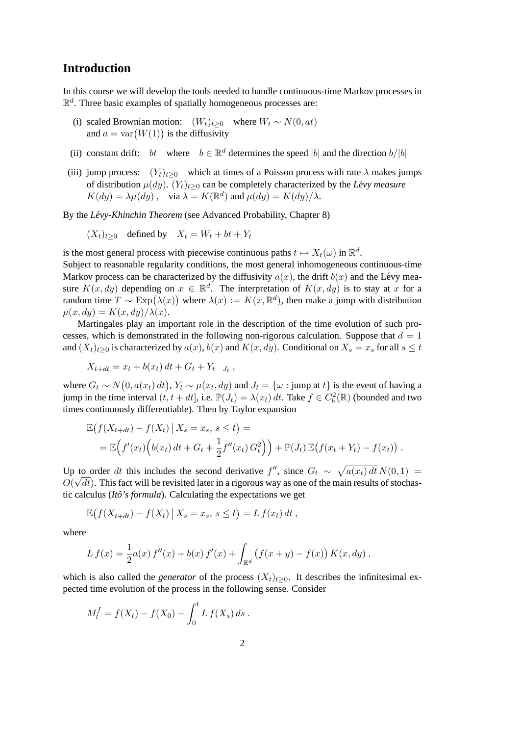### **Introduction**

<span id="page-1-0"></span>In this course we will develop the tools needed to handle continuous-time Markov processes in  $\mathbb{R}^d$ . Three basic examples of spatially homogeneous processes are:

- (i) scaled Brownian motion:  $(W_t)_{t\geq 0}$  where  $W_t \sim N(0, at)$ and  $a = \text{var}(W(1))$  is the diffusivity
- (ii) constant drift: bt where  $b \in \mathbb{R}^d$  determines the speed |b| and the direction  $b/|b|$
- (iii) jump process:  $(Y_t)_{t>0}$  which at times of a Poisson process with rate  $\lambda$  makes jumps of distribution  $\mu(dy)$ .  $(Y_t)_{t\geq0}$  can be completely characterized by the *Lévy measure*  $K(dy) = \lambda \mu(dy)$ , via  $\lambda = K(\mathbb{R}^d)$  and  $\mu(dy) = K(dy)/\lambda$ .

By the *Lévy-Khinchin Theorem* (see Advanced Probability, Chapter 8)

$$
(X_t)_{t\geq 0}
$$
 defined by  $X_t = W_t + bt + Y_t$ 

is the most general process with piecewise continuous paths  $t \mapsto X_t(\omega)$  in  $\mathbb{R}^d$ .

Subject to reasonable regularity conditions, the most general inhomogeneous continuous-time Markov process can be characterized by the diffusivity  $a(x)$ , the drift  $b(x)$  and the Lévy measure  $K(x, dy)$  depending on  $x \in \mathbb{R}^d$ . The interpretation of  $K(x, dy)$  is to stay at x for a random time  $T \sim \text{Exp}(\lambda(x))$  where  $\lambda(x) := K(x, \mathbb{R}^d)$ , then make a jump with distribution  $\mu(x, dy) = K(x, dy)/\lambda(x).$ 

Martingales play an important role in the description of the time evolution of such processes, which is demonstrated in the following non-rigorous calculation. Suppose that  $d = 1$ and  $(X_t)_{t>0}$  is characterized by  $a(x)$ ,  $b(x)$  and  $K(x, dy)$ . Conditional on  $X_s = x_s$  for all  $s \le t$ 

$$
X_{t+dt} = x_t + b(x_t) dt + G_t + Y_t \mathbf{1}_{J_t},
$$

where  $G_t \sim N(0, a(x_t) dt)$ ,  $Y_t \sim \mu(x_t, dy)$  and  $J_t = \{\omega : \text{jump at } t\}$  is the event of having a jump in the time interval  $(t, t + dt]$ , i.e.  $\mathbb{P}(J_t) = \lambda(x_t) dt$ . Take  $f \in C_b^2(\mathbb{R})$  (bounded and two times continuously differentiable). Then by Taylor expansion

$$
\mathbb{E}(f(X_{t+dt}) - f(X_t) | X_s = x_s, s \le t) =
$$
  
= 
$$
\mathbb{E}(f'(x_t) (b(x_t) dt + G_t + \frac{1}{2} f''(x_t) G_t^2)) + \mathbb{P}(J_t) \mathbb{E}(f(x_t + Y_t) - f(x_t)).
$$

Up to order dt this includes the second derivative  $f''$ , since  $G_t \sim \sqrt{a(x_t) dt} N(0, 1) =$  $O(\sqrt{dt})$ . This fact will be revisited later in a rigorous way as one of the main results of stochastic calculus (*Itô's formula*). Calculating the expectations we get

$$
\mathbb{E}\big(f(X_{t+dt})-f(X_t)\,\big|\,X_s=x_s,\,s\leq t\big)=L\,f(x_t)\,dt\;,
$$

where

$$
L f(x) = \frac{1}{2} a(x) f''(x) + b(x) f'(x) + \int_{\mathbb{R}^d} (f(x+y) - f(x)) K(x, dy),
$$

which is also called the *generator* of the process  $(X_t)_{t>0}$ . It describes the infinitesimal expected time evolution of the process in the following sense. Consider

$$
M_t^f = f(X_t) - f(X_0) - \int_0^t L f(X_s) \, ds \, .
$$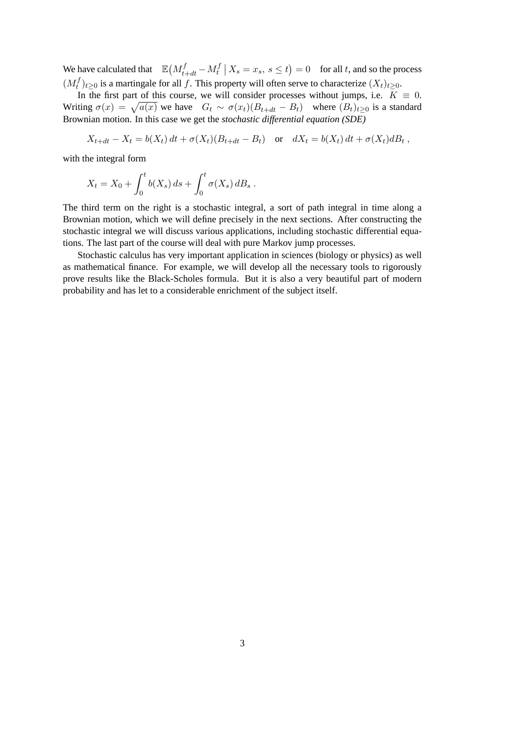We have calculated that  $\mathbb{E}\left(M_{t+dt}^{f}-M_{t}^{f}\right)$  $t_t^{t} | X_s = x_s, s \le t$  = 0 for all t, and so the process  $(M_t^f)$  $t<sup>J</sup>(t)_{t\geq0}$  is a martingale for all f. This property will often serve to characterize  $(X_t)_{t\geq0}$ .

In the first part of this course, we will consider processes without jumps, i.e.  $K \equiv 0$ . Writing  $\sigma(x) = \sqrt{a(x)}$  we have  $G_t \sim \sigma(x_t)(B_{t+dt} - B_t)$  where  $(B_t)_{t\geq 0}$  is a standard Brownian motion. In this case we get the *stochastic differential equation (SDE)*

$$
X_{t+dt} - X_t = b(X_t) dt + \sigma(X_t) (B_{t+dt} - B_t) \quad \text{or} \quad dX_t = b(X_t) dt + \sigma(X_t) dB_t,
$$

with the integral form

$$
X_t = X_0 + \int_0^t b(X_s) \, ds + \int_0^t \sigma(X_s) \, dB_s \, .
$$

The third term on the right is a stochastic integral, a sort of path integral in time along a Brownian motion, which we will define precisely in the next sections. After constructing the stochastic integral we will discuss various applications, including stochastic differential equations. The last part of the course will deal with pure Markov jump processes.

Stochastic calculus has very important application in sciences (biology or physics) as well as mathematical finance. For example, we will develop all the necessary tools to rigorously prove results like the Black-Scholes formula. But it is also a very beautiful part of modern probability and has let to a considerable enrichment of the subject itself.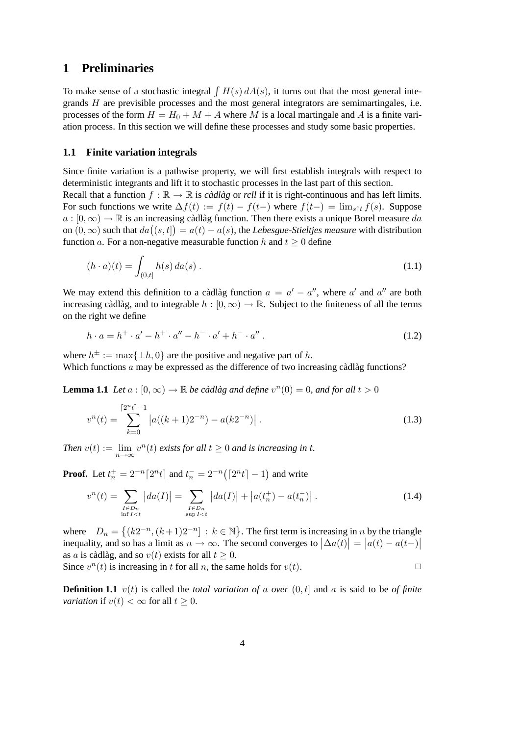### <span id="page-3-0"></span>**1 Preliminaries**

To make sense of a stochastic integral  $\int H(s) dA(s)$ , it turns out that the most general integrands H are previsible processes and the most general integrators are semimartingales, i.e. processes of the form  $H = H_0 + M + A$  where M is a local martingale and A is a finite variation process. In this section we will define these processes and study some basic properties.

#### <span id="page-3-1"></span>**1.1 Finite variation integrals**

Since finite variation is a pathwise property, we will first establish integrals with respect to deterministic integrants and lift it to stochastic processes in the last part of this section. Recall that a function  $f : \mathbb{R} \to \mathbb{R}$  is *càdlàg* or *rcll* if it is right-continuous and has left limits. For such functions we write  $\Delta f(t) := f(t) - f(t-)$  where  $f(t-) = \lim_{s \uparrow t} f(s)$ . Suppose  $a : [0, \infty) \to \mathbb{R}$  is an increasing càdlàg function. Then there exists a unique Borel measure  $da$ on  $(0, \infty)$  such that  $da((s, t]) = a(t) - a(s)$ , the *Lebesgue-Stieltjes measure* with distribution function a. For a non-negative measurable function h and  $t \geq 0$  define

$$
(h \cdot a)(t) = \int_{(0,t]} h(s) \, da(s) \,. \tag{1.1}
$$

We may extend this definition to a càdlàg function  $a = a' - a''$ , where a' and a'' are both increasing càdlàg, and to integrable  $h : [0, \infty) \to \mathbb{R}$ . Subject to the finiteness of all the terms on the right we define

<span id="page-3-3"></span>
$$
h \cdot a = h^{+} \cdot a' - h^{+} \cdot a'' - h^{-} \cdot a' + h^{-} \cdot a'' \,. \tag{1.2}
$$

where  $h^{\pm} := \max\{\pm h, 0\}$  are the positive and negative part of h. Which functions  $a$  may be expressed as the difference of two increasing càdlàg functions?

**Lemma 1.1** *Let*  $a : [0, \infty) \to \mathbb{R}$  *be càdlàg and define*  $v^n(0) = 0$ *, and for all*  $t > 0$ 

$$
v^{n}(t) = \sum_{k=0}^{\lceil 2^{n} t \rceil - 1} |a((k+1)2^{-n}) - a(k2^{-n})|.
$$
 (1.3)

*Then*  $v(t) := \lim_{n \to \infty} v^n(t)$  *exists for all*  $t \ge 0$  *and is increasing in t.* 

**Proof.** Let  $t_n^+ = 2^{-n} [2^n t]$  and  $t_n^- = 2^{-n} ([2^n t] - 1)$  and write

<span id="page-3-2"></span>
$$
v^{n}(t) = \sum_{\substack{I \in D_{n} \\ \inf I < t}} |da(I)| = \sum_{\substack{I \in D_{n} \\ \sup I < t}} |da(I)| + |a(t_{n}^{+}) - a(t_{n}^{-})| \tag{1.4}
$$

where  $D_n = \{(k2^{-n}, (k+1)2^{-n}] : k \in \mathbb{N}\}\.$  The first term is increasing in n by the triangle inequality, and so has a limit as  $n \to \infty$ . The second converges to  $|\Delta a(t)| = |a(t) - a(t-)|$ as a is càdlàg, and so  $v(t)$  exists for all  $t \geq 0$ .

Since  $v^n(t)$  is increasing in t for all n, the same holds for  $v(t)$ .

**Definition 1.1**  $v(t)$  is called the *total variation of a over*  $(0, t]$  and a is said to be *of finite variation* if  $v(t) < \infty$  for all  $t \geq 0$ .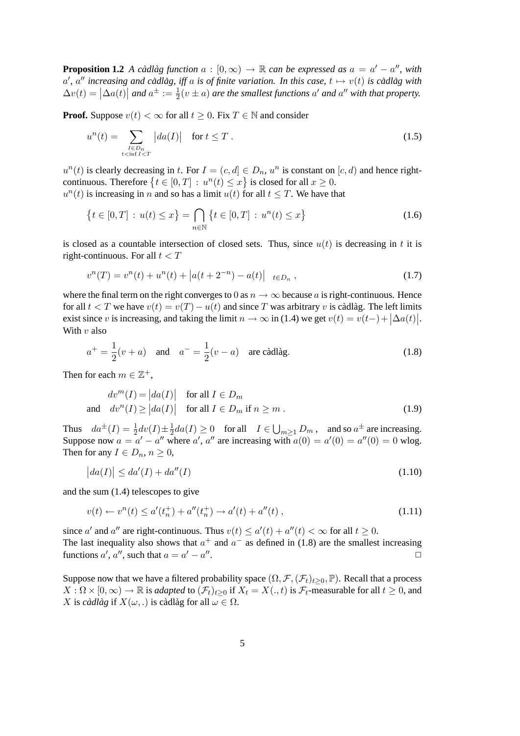**Proposition 1.2** *A càdlàg function*  $a : [0, \infty) \to \mathbb{R}$  *can be expressed as*  $a = a' - a''$ *, with*  $a'$ ,  $a''$  increasing and càdlàg, iff a is of finite variation. In this case,  $t \mapsto v(t)$  is càdlàg with  $\Delta v(t) = |\Delta a(t)|$  and  $a^{\pm} := \frac{1}{2}(v \pm a)$  are the smallest functions  $a'$  and  $a''$  with that property.

**Proof.** Suppose  $v(t) < \infty$  for all  $t \geq 0$ . Fix  $T \in \mathbb{N}$  and consider

$$
u^{n}(t) = \sum_{\substack{I \in D_{n} \\ t < \inf I < T}} |da(I)| \quad \text{for } t \leq T . \tag{1.5}
$$

 $u^n(t)$  is clearly decreasing in t. For  $I = (c, d] \in D_n$ ,  $u^n$  is constant on  $[c, d)$  and hence rightcontinuous. Therefore  $\{t \in [0, T] : u^n(t) \leq x\}$  is closed for all  $x \geq 0$ .  $u^n(t)$  is increasing in n and so has a limit  $u(t)$  for all  $t \leq T$ . We have that

$$
\{t \in [0, T] : u(t) \le x\} = \bigcap_{n \in \mathbb{N}} \{t \in [0, T] : u^n(t) \le x\}
$$
\n(1.6)

is closed as a countable intersection of closed sets. Thus, since  $u(t)$  is decreasing in t it is right-continuous. For all  $t < T$ 

$$
v^{n}(T) = v^{n}(t) + u^{n}(t) + |a(t + 2^{-n}) - a(t)| \mathbf{1}_{t \in D_{n}}, \qquad (1.7)
$$

where the final term on the right converges to 0 as  $n \to \infty$  because a is right-continuous. Hence for all  $t < T$  we have  $v(t) = v(T) - u(t)$  and since T was arbitrary v is càdlàg. The left limits exist since v is increasing, and taking the limit  $n \to \infty$  in [\(1.4\)](#page-3-2) we get  $v(t) = v(t-) + |\Delta a(t)|$ . With  $v$  also

<span id="page-4-0"></span>
$$
a^{+} = \frac{1}{2}(v+a)
$$
 and  $a^{-} = \frac{1}{2}(v-a)$  are c\àdlàg. (1.8)

Then for each  $m \in \mathbb{Z}^+$ ,

$$
dv^{m}(I) = |da(I)| \quad \text{for all } I \in D_{m}
$$
  
and 
$$
dv^{n}(I) \ge |da(I)| \quad \text{for all } I \in D_{m} \text{ if } n \ge m .
$$
 (1.9)

Thus  $da^{\pm}(I) = \frac{1}{2}dv(I) \pm \frac{1}{2}$  $\frac{1}{2}da(I) \ge 0$  for all  $I \in \bigcup_{m \ge 1} D_m$ , and so  $a^{\pm}$  are increasing. Suppose now  $a = a' - a''$  where a', a'' are increasing with  $a(0) = a'(0) = a''(0) = 0$  wlog. Then for any  $I \in D_n$ ,  $n \geq 0$ ,

$$
\left|da(I)\right| \leq da'(I) + da''(I) \tag{1.10}
$$

and the sum [\(1.4\)](#page-3-2) telescopes to give

$$
v(t) \leftarrow v^{n}(t) \le a'(t_{n}^{+}) + a''(t_{n}^{+}) \rightarrow a'(t) + a''(t) , \qquad (1.11)
$$

since a' and a'' are right-continuous. Thus  $v(t) \le a'(t) + a''(t) < \infty$  for all  $t \ge 0$ . The last inequality also shows that  $a^+$  and  $a^-$  as defined in [\(1.8\)](#page-4-0) are the smallest increasing functions  $a'$ ,  $a''$ , such that  $a = a' - a''$ .  $\Box$ 

Suppose now that we have a filtered probability space  $(\Omega, \mathcal{F}, (\mathcal{F}_t)_{t>0}, \mathbb{P})$ . Recall that a process  $X: \Omega \times [0,\infty) \to \mathbb{R}$  is *adapted* to  $(\mathcal{F}_t)_{t>0}$  if  $X_t = X(.)$  is  $\mathcal{F}_t$ -measurable for all  $t \geq 0$ , and X is *càdlàg* if  $X(\omega,.)$  is càdlàg for all  $\omega \in \Omega$ .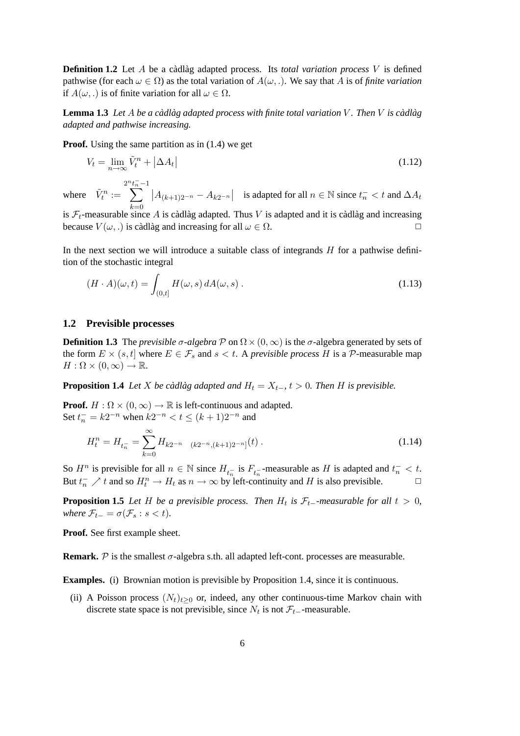**Definition 1.2** Let A be a càdlàg adapted process. Its *total variation process* V is defined pathwise (for each  $\omega \in \Omega$ ) as the total variation of  $A(\omega, \cdot)$ . We say that A is of *finite variation* if  $A(\omega)$  is of finite variation for all  $\omega \in \Omega$ .

**Lemma 1.3** Let A be a càdlàg adapted process with finite total variation V. Then V is càdlàg *adapted and pathwise increasing.*

**Proof.** Using the same partition as in [\(1.4\)](#page-3-2) we get

$$
V_t = \lim_{n \to \infty} \tilde{V}_t^n + |\Delta A_t| \tag{1.12}
$$

where  $\tilde{V}_t^n :=$  $\sum_{n=1}^{2^n}$  $k=0$  $|A_{(k+1)2^{-n}} - A_{k2^{-n}}|$  is adapted for all  $n \in \mathbb{N}$  since  $t_n^- < t$  and  $\Delta A_t$ 

is  $\mathcal{F}_t$ -measurable since A is càdlàg adapted. Thus V is adapted and it is càdlàg and increasing because  $V(\omega,.)$  is càdlàg and increasing for all  $\omega \in \Omega$ .

In the next section we will introduce a suitable class of integrands  $H$  for a pathwise definition of the stochastic integral

$$
(H \cdot A)(\omega, t) = \int_{(0,t]} H(\omega, s) dA(\omega, s) . \qquad (1.13)
$$

#### <span id="page-5-0"></span>**1.2 Previsible processes**

**Definition 1.3** The *previsible*  $\sigma$ -algebra  $\mathcal{P}$  on  $\Omega \times (0, \infty)$  is the  $\sigma$ -algebra generated by sets of the form  $E \times (s, t]$  where  $E \in \mathcal{F}_s$  and  $s < t$ . A *previsible process H* is a  $\mathcal{P}$ -measurable map  $H: \Omega \times (0, \infty) \to \mathbb{R}.$ 

<span id="page-5-1"></span>**Proposition 1.4** *Let X be càdlàg adapted and*  $H_t = X_{t-}$ ,  $t > 0$ . *Then H is previsible.* 

**Proof.**  $H : \Omega \times (0, \infty) \to \mathbb{R}$  is left-continuous and adapted. Set  $t_n^- = k2^{-n}$  when  $k2^{-n} < t \le (k+1)2^{-n}$  and

$$
H_t^n = H_{t_n} = \sum_{k=0}^{\infty} H_{k2^{-n}} \mathbf{1}_{(k2^{-n}, (k+1)2^{-n}]}(t) \tag{1.14}
$$

So  $H^n$  is previsible for all  $n \in \mathbb{N}$  since  $H_{t_n}$  is  $F_{t_n}$ -measurable as H is adapted and  $t_n^- < t$ . But  $t_n^-$  / t and so  $H_t^n \to H_t$  as  $n \to \infty$  by left-continuity and H is also previsible.  $\Box$ 

**Proposition 1.5** *Let* H *be a previsible process. Then*  $H_t$  *is*  $\mathcal{F}_{t-}$ *-measurable for all*  $t > 0$ *, where*  $\mathcal{F}_{t-} = \sigma(\mathcal{F}_s : s < t)$ *.* 

**Proof.** See first example sheet.

**Remark.**  $\mathcal{P}$  is the smallest  $\sigma$ -algebra s.th. all adapted left-cont. processes are measurable.

**Examples.** (i) Brownian motion is previsible by Proposition 1.4, since it is continuous.

(ii) A Poisson process  $(N_t)_{t>0}$  or, indeed, any other continuous-time Markov chain with discrete state space is not previsible, since  $N_t$  is not  $\mathcal{F}_{t-}$ -measurable.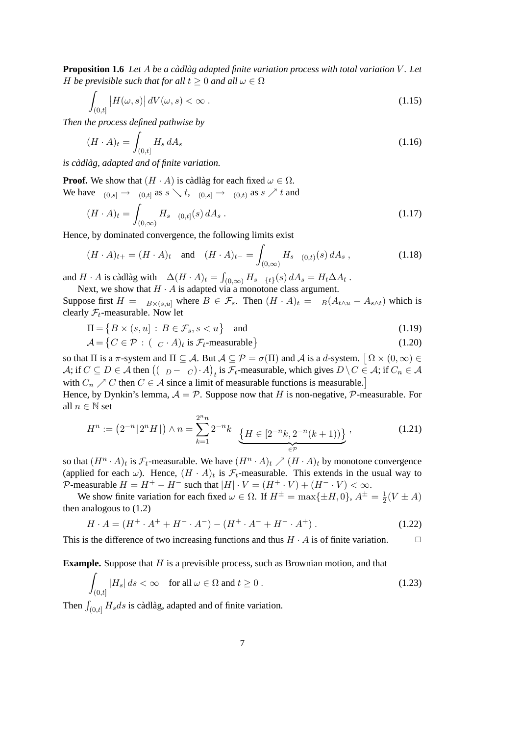<span id="page-6-0"></span>**Proposition 1.6** *Let* A *be a cadlag adapted finite variation process with total variation V*. Let *H be previsible such that for all*  $t \geq 0$  *and all*  $\omega \in \Omega$ 

$$
\int_{(0,t]} |H(\omega,s)| dV(\omega,s) < \infty.
$$
\n(1.15)

*Then the process defined pathwise by*

$$
(H \cdot A)_t = \int_{(0,t]} H_s \, dA_s \tag{1.16}
$$

*is cadl ` ag, adapted and of finite variation. `*

**Proof.** We show that  $(H \cdot A)$  is càdlàg for each fixed  $\omega \in \Omega$ . We have  $1_{(0,s]} \rightarrow 1_{(0,t]}$  as  $s \searrow t$ ,  $1_{(0,s]} \rightarrow 1_{(0,t)}$  as  $s \nearrow t$  and

$$
(H \cdot A)_t = \int_{(0,\infty)} H_s \, \mathbf{1}_{(0,t]}(s) \, dA_s \,. \tag{1.17}
$$

Hence, by dominated convergence, the following limits exist

$$
(H \cdot A)_{t+} = (H \cdot A)_t \quad \text{and} \quad (H \cdot A)_{t-} = \int_{(0,\infty)} H_s \, \mathbf{1}_{(0,t)}(s) \, dA_s \,, \tag{1.18}
$$

and  $H \cdot A$  is càdlàg with  $\Delta (H \cdot A)_t = \int_{(0,\infty)} H_s \mathbf{1}_{\{t\}}(s) dA_s = H_t \Delta A_t$ .

Next, we show that  $H \cdot A$  is adapted via a monotone class argument.

Suppose first  $H = \mathbf{1}_{B \times (s,u]}$  where  $B \in \mathcal{F}_s$ . Then  $(H \cdot A)_t = \mathbf{1}_B(A_{t \wedge u} - A_{s \wedge t})$  which is clearly  $\mathcal{F}_t$ -measurable. Now let

$$
\Pi = \{ B \times (s, u] : B \in \mathcal{F}_s, s < u \} \quad \text{and} \tag{1.19}
$$

$$
\mathcal{A} = \{ C \in \mathcal{P} : (1_C \cdot A)_t \text{ is } \mathcal{F}_t\text{-measurable} \} \tag{1.20}
$$

so that  $\Pi$  is a  $\pi$ -system and  $\Pi \subseteq A$ . But  $A \subseteq \mathcal{P} = \sigma(\Pi)$  and A is a d-system.  $\big[ \Omega \times (0, \infty) \in$  $\mathcal{A}$ ; if  $C \subseteq D \in \mathcal{A}$  then  $((1_D-1_C)\cdot A)_t$  is  $\mathcal{F}_t$ -measurable, which gives  $D\setminus C \in \mathcal{A}$ ; if  $C_n \in \mathcal{A}$ with  $C_n \nearrow C$  then  $C \in \mathcal{A}$  since a limit of measurable functions is measurable.

Hence, by Dynkin's lemma,  $A = P$ . Suppose now that H is non-negative, P-measurable. For all  $n \in \mathbb{N}$  set

$$
H^n := \left(2^{-n} \lfloor 2^n H \rfloor\right) \wedge n = \sum_{k=1}^{2^n n} 2^{-n} k \mathbf{1}_{\{H \in \left[2^{-n} k, 2^{-n} (k+1)\right)\}} \tag{1.21}
$$

so that  $(H^n \cdot A)_t$  is  $\mathcal{F}_t$ -measurable. We have  $(H^n \cdot A)_t \nearrow (H \cdot A)_t$  by monotone convergence (applied for each  $\omega$ ). Hence,  $(H \cdot A)_t$  is  $\mathcal{F}_t$ -measurable. This extends in the usual way to P-measurable  $H = H^+ - H^-$  such that  $|H| \cdot V = (H^+ \cdot V) + (H^- \cdot V) < \infty$ .

We show finite variation for each fixed  $\omega \in \Omega$ . If  $H^{\pm} = \max\{\pm H, 0\}$ ,  $A^{\pm} = \frac{1}{2}$  $\frac{1}{2}(V \pm A)$ then analogous to [\(1.2\)](#page-3-3)

$$
H \cdot A = (H^+ \cdot A^+ + H^- \cdot A^-) - (H^+ \cdot A^- + H^- \cdot A^+)
$$
 (1.22)

This is the difference of two increasing functions and thus  $H \cdot A$  is of finite variation.  $\Box$ 

**Example.** Suppose that H is a previsible process, such as Brownian motion, and that

$$
\int_{(0,t]} |H_s| ds < \infty \quad \text{for all } \omega \in \Omega \text{ and } t \ge 0.
$$
\n(1.23)

Then  $\int_{(0,t]} H_s ds$  is càdlàg, adapted and of finite variation.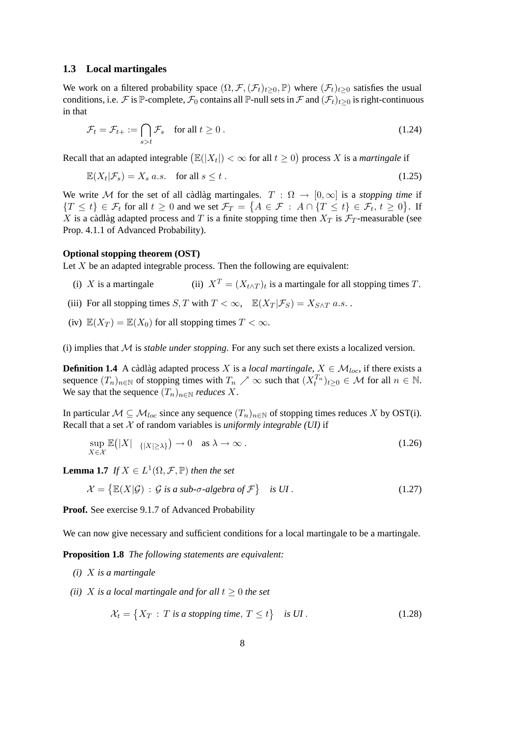#### <span id="page-7-0"></span>**1.3 Local martingales**

We work on a filtered probability space  $(\Omega, \mathcal{F}, (\mathcal{F}_t)_{t\geq 0}, \mathbb{P})$  where  $(\mathcal{F}_t)_{t\geq 0}$  satisfies the usual conditions, i.e. F is P-complete,  $\mathcal{F}_0$  contains all P-null sets in F and  $(\mathcal{F}_t)_{t\geq 0}$  is right-continuous in that

$$
\mathcal{F}_t = \mathcal{F}_{t+} := \bigcap_{s>t} \mathcal{F}_s \quad \text{for all } t \ge 0 \,. \tag{1.24}
$$

Recall that an adapted integrable  $(\mathbb{E}(|X_t|) < \infty$  for all  $t \ge 0)$  process X is a *martingale* if

$$
\mathbb{E}(X_t|\mathcal{F}_s) = X_s \ a.s. \quad \text{for all } s \le t \,. \tag{1.25}
$$

We write M for the set of all cadlage martingales.  $T : \Omega \to [0, \infty]$  is a *stopping time* if  $\{T \leq t\} \in \mathcal{F}_t$  for all  $t \geq 0$  and we set  $\mathcal{F}_T = \{A \in \mathcal{F} : A \cap \{T \leq t\} \in \mathcal{F}_t, t \geq 0\}$ . If X is a càdlàg adapted process and T is a finite stopping time then  $X_T$  is  $\mathcal{F}_T$ -measurable (see Prop. 4.1.1 of Advanced Probability).

#### **Optional stopping theorem (OST)**

Let  $X$  be an adapted integrable process. Then the following are equivalent:

- (i) X is a martingale (ii)  $X^T = (X_{t \wedge T})_t$  is a martingale for all stopping times T.
- (iii) For all stopping times S, T with  $T < \infty$ ,  $\mathbb{E}(X_T | \mathcal{F}_S) = X_{S \wedge T} a.s.$ .
- (iv)  $\mathbb{E}(X_T) = \mathbb{E}(X_0)$  for all stopping times  $T < \infty$ .

(i) implies that  $M$  is *stable under stopping*. For any such set there exists a localized version.

**Definition 1.4** A càdlàg adapted process X is a *local martingale*,  $X \in \mathcal{M}_{loc}$ , if there exists a sequence  $(T_n)_{n \in \mathbb{N}}$  of stopping times with  $T_n \nearrow \infty$  such that  $(X_t^{T_n})_{t \geq 0} \in \mathcal{M}$  for all  $n \in \mathbb{N}$ . We say that the sequence  $(T_n)_{n \in \mathbb{N}}$  *reduces* X.

In particular  $M \subseteq M_{loc}$  since any sequence  $(T_n)_{n \in \mathbb{N}}$  of stopping times reduces X by OST(i). Recall that a set  $X$  of random variables is *uniformly integrable (UI)* if

$$
\sup_{X \in \mathcal{X}} \mathbb{E}(|X| \mathbf{1}_{\{|X| \ge \lambda\}}) \to 0 \quad \text{as } \lambda \to \infty. \tag{1.26}
$$

<span id="page-7-1"></span>**Lemma 1.7** *If*  $X \in L^1(\Omega, \mathcal{F}, \mathbb{P})$  *then the set* 

$$
\mathcal{X} = \left\{ \mathbb{E}(X|\mathcal{G}) \, : \, \mathcal{G} \text{ is a sub-} \sigma\text{-algebra of } \mathcal{F} \right\} \quad \text{is } \text{UI}. \tag{1.27}
$$

**Proof.** See exercise 9.1.7 of Advanced Probability

<span id="page-7-2"></span>We can now give necessary and sufficient conditions for a local martingale to be a martingale.

**Proposition 1.8** *The following statements are equivalent:*

- *(i)* X *is a martingale*
- *(ii)* X is a local martingale and for all  $t \geq 0$  the set

$$
\mathcal{X}_t = \{ X_T : T \text{ is a stopping time}, T \le t \} \quad \text{is } UI. \tag{1.28}
$$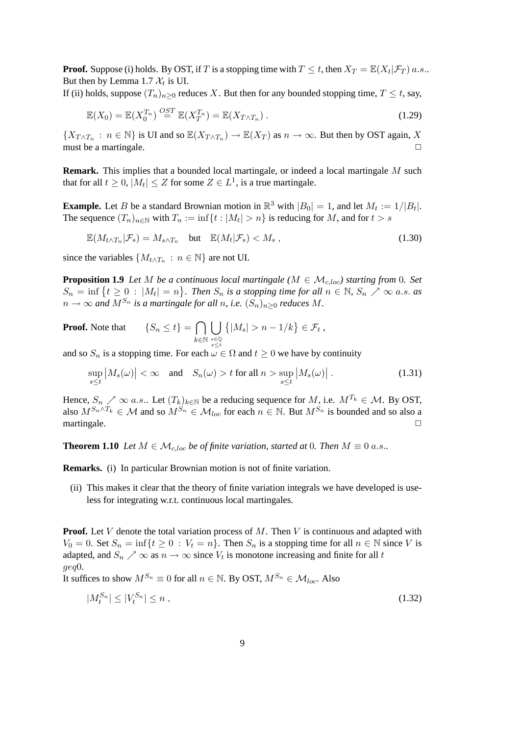**Proof.** Suppose (i) holds. By OST, if T is a stopping time with  $T \le t$ , then  $X_T = \mathbb{E}(X_t | \mathcal{F}_T)$  a.s.. But then by Lemma [1.7](#page-7-1)  $\mathcal{X}_t$  is UI.

If (ii) holds, suppose  $(T_n)_{n>0}$  reduces X. But then for any bounded stopping time,  $T \le t$ , say,

$$
\mathbb{E}(X_0) = \mathbb{E}(X_0^{T_n}) \stackrel{OST}{=} \mathbb{E}(X_T^{T_n}) = \mathbb{E}(X_{T \wedge T_n}). \tag{1.29}
$$

 $\{X_{T \wedge T_n} : n \in \mathbb{N}\}\$ is UI and so  $\mathbb{E}(X_{T \wedge T_n}) \to \mathbb{E}(X_T)$  as  $n \to \infty$ . But then by OST again, X must be a martingale.  $\Box$ 

**Remark.** This implies that a bounded local martingale, or indeed a local martingale M such that for all  $t \geq 0$ ,  $|M_t| \leq Z$  for some  $Z \in L^1$ , is a true martingale.

**Example.** Let B be a standard Brownian motion in  $\mathbb{R}^3$  with  $|B_0| = 1$ , and let  $M_t := 1/|B_t|$ . The sequence  $(T_n)_{n \in \mathbb{N}}$  with  $T_n := \inf\{t : |M_t| > n\}$  is reducing for M, and for  $t > s$ 

$$
\mathbb{E}(M_{t\wedge T_n}|\mathcal{F}_s) = M_{s\wedge T_n} \quad \text{but} \quad \mathbb{E}(M_t|\mathcal{F}_s) < M_s \,, \tag{1.30}
$$

since the variables  $\{M_{t \wedge T_n} : n \in \mathbb{N}\}\$ are not UI.

**Proposition 1.9** *Let* M *be a continuous local martingale* ( $M \in \mathcal{M}_{c, loc}$ ) *starting from* 0*. Set*  $S_n = \inf \{ t \geq 0 : |M_t| = n \}.$  Then  $S_n$  is a stopping time for all  $n \in \mathbb{N}$ ,  $S_n \nearrow \infty$  a.s. as  $n \to \infty$  and  $M^{S_n}$  is a martingale for all n, i.e.  $(S_n)_{n \geq 0}$  reduces M.

**Proof.** Note that 
$$
\{S_n \leq t\} = \bigcap_{k \in \mathbb{N}} \bigcup_{s \in \mathbb{Q}} \left\{|M_s| > n - 1/k\right\} \in \mathcal{F}_t,
$$

 $k \in \mathbb{N}$  s∈Q<br>and so  $S_n$  is a stopping time. For each  $\omega \in \Omega$  and  $t \ge 0$  we have by continuity

$$
\sup_{s\leq t} |M_s(\omega)| < \infty \quad \text{and} \quad S_n(\omega) > t \text{ for all } n > \sup_{s\leq t} |M_s(\omega)|.
$$
 (1.31)

Hence,  $S_n \nearrow \infty$  a.s.. Let  $(T_k)_{k \in \mathbb{N}}$  be a reducing sequence for M, i.e.  $M^{T_k} \in \mathcal{M}$ . By OST, also  $M^{S_n \wedge T_k} \in \mathcal{M}$  and so  $M^{S_n} \in \mathcal{M}_{loc}$  for each  $n \in \mathbb{N}$ . But  $M^{S_n}$  is bounded and so also a martingale.  $\Box$ 

<span id="page-8-0"></span>**Theorem 1.10** *Let*  $M \in \mathcal{M}_{c,loc}$  *be of finite variation, started at* 0*. Then*  $M \equiv 0$  *a.s..* 

**Remarks.** (i) In particular Brownian motion is not of finite variation.

(ii) This makes it clear that the theory of finite variation integrals we have developed is useless for integrating w.r.t. continuous local martingales.

**Proof.** Let V denote the total variation process of M. Then V is continuous and adapted with  $V_0 = 0$ . Set  $S_n = \inf\{t \geq 0 : V_t = n\}$ . Then  $S_n$  is a stopping time for all  $n \in \mathbb{N}$  since V is adapted, and  $S_n \nearrow \infty$  as  $n \to \infty$  since  $V_t$  is monotone increasing and finite for all t geq0.

It suffices to show  $M^{S_n} \equiv 0$  for all  $n \in \mathbb{N}$ . By OST,  $M^{S_n} \in \mathcal{M}_{loc}$ . Also

$$
|M_t^{S_n}| \le |V_t^{S_n}| \le n \tag{1.32}
$$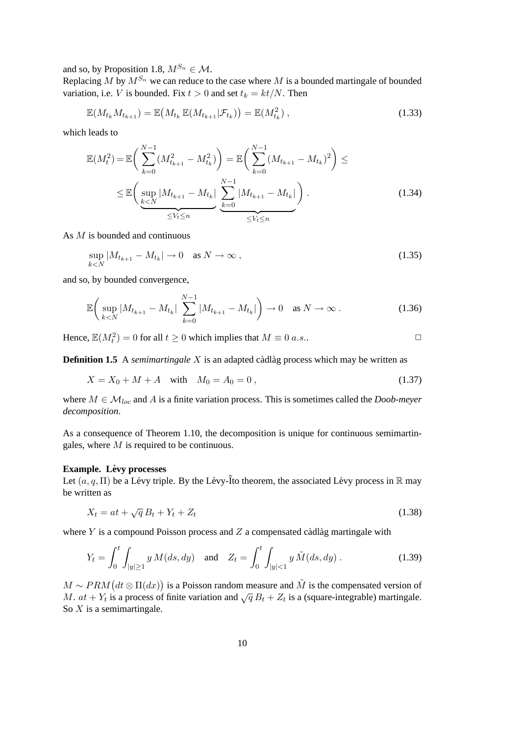and so, by Proposition [1.8,](#page-7-2)  $M^{S_n} \in \mathcal{M}$ .

Replacing  $M$  by  $M^{S_n}$  we can reduce to the case where  $M$  is a bounded martingale of bounded variation, i.e. V is bounded. Fix  $t > 0$  and set  $t_k = kt/N$ . Then

$$
\mathbb{E}(M_{t_k}M_{t_{k+1}}) = \mathbb{E}(M_{t_k}\mathbb{E}(M_{t_{k+1}}|\mathcal{F}_{t_k})) = \mathbb{E}(M_{t_k}^2),
$$
\n(1.33)

which leads to

$$
\mathbb{E}(M_t^2) = \mathbb{E}\left(\sum_{k=0}^{N-1} (M_{t_{k+1}}^2 - M_{t_k}^2)\right) = \mathbb{E}\left(\sum_{k=0}^{N-1} (M_{t_{k+1}} - M_{t_k})^2\right) \le
$$
  

$$
\leq \mathbb{E}\left(\sup_{\substack{k\leq N}} |M_{t_{k+1}} - M_{t_k}| \sum_{\substack{k=0}}^{N-1} |M_{t_{k+1}} - M_{t_k}| \right).
$$
 (1.34)

As M is bounded and continuous

$$
\sup_{k < N} |M_{t_{k+1}} - M_{t_k}| \to 0 \quad \text{as } N \to \infty \,, \tag{1.35}
$$

and so, by bounded convergence,

$$
\mathbb{E}\bigg(\sup_{k (1.36)
$$

Hence,  $\mathbb{E}(M_t^2) = 0$  for all  $t \ge 0$  which implies that  $M \equiv 0$  a.s..

**Definition 1.5** A *semimartingale*  $X$  is an adapted càdlàg process which may be written as

$$
X = X_0 + M + A \quad \text{with} \quad M_0 = A_0 = 0 \,, \tag{1.37}
$$

where  $M \in \mathcal{M}_{loc}$  and A is a finite variation process. This is sometimes called the *Doob-meyer decomposition*.

As a consequence of Theorem [1.10,](#page-8-0) the decomposition is unique for continuous semimartingales, where  $M$  is required to be continuous.

#### **Example.** Lévy processes

Let  $(a, q, \Pi)$  be a Lévy triple. By the Lévy-Îto theorem, the associated Lévy process in  $\mathbb R$  may be written as

$$
X_t = at + \sqrt{q} B_t + Y_t + Z_t \tag{1.38}
$$

where Y is a compound Poisson process and  $Z$  a compensated càdlàg martingale with

$$
Y_t = \int_0^t \int_{|y| \ge 1} y \, M(ds, dy) \quad \text{and} \quad Z_t = \int_0^t \int_{|y| < 1} y \, \tilde{M}(ds, dy) \,. \tag{1.39}
$$

 $M \sim PRM(dt \otimes \Pi(dx))$  is a Poisson random measure and  $\tilde{M}$  is the compensated version of M. at +  $Y_t$  is a process of finite variation and  $\sqrt{q} B_t + Z_t$  is a (square-integrable) martingale. So  $X$  is a semimartingale.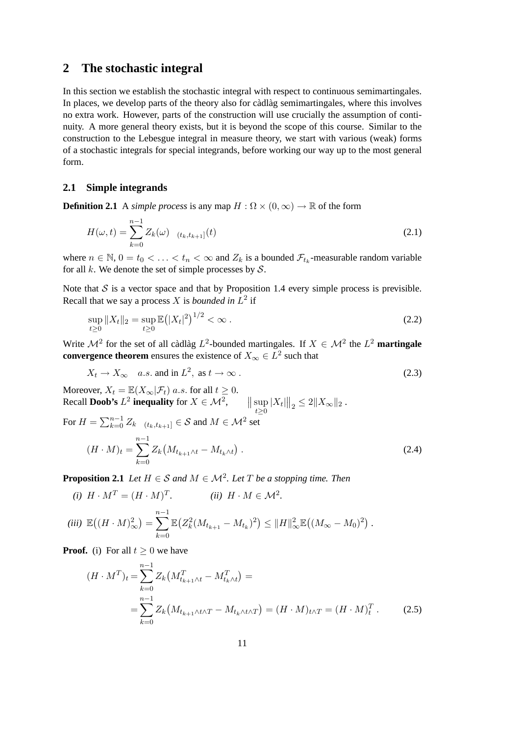### <span id="page-10-0"></span>**2 The stochastic integral**

In this section we establish the stochastic integral with respect to continuous semimartingales. In places, we develop parts of the theory also for càdlàg semimartingales, where this involves no extra work. However, parts of the construction will use crucially the assumption of continuity. A more general theory exists, but it is beyond the scope of this course. Similar to the construction to the Lebesgue integral in measure theory, we start with various (weak) forms of a stochastic integrals for special integrands, before working our way up to the most general form.

### <span id="page-10-1"></span>**2.1 Simple integrands**

**Definition 2.1** A *simple process* is any map  $H : \Omega \times (0, \infty) \to \mathbb{R}$  of the form

$$
H(\omega, t) = \sum_{k=0}^{n-1} Z_k(\omega) \mathbf{1}_{(t_k, t_{k+1}]}(t)
$$
\n(2.1)

where  $n \in \mathbb{N}$ ,  $0 = t_0 < \ldots < t_n < \infty$  and  $Z_k$  is a bounded  $\mathcal{F}_{t_k}$ -measurable random variable for all k. We denote the set of simple processes by  $S$ .

Note that  $S$  is a vector space and that by Proposition [1.4](#page-5-1) every simple process is previsible. Recall that we say a process  $X$  is *bounded in*  $L^2$  if

$$
\sup_{t\geq 0} \|X_t\|_2 = \sup_{t\geq 0} \mathbb{E}(|X_t|^2)^{1/2} < \infty \,. \tag{2.2}
$$

Write  $\mathcal{M}^2$  for the set of all càdlàg  $L^2$ -bounded martingales. If  $X \in \mathcal{M}^2$  the  $L^2$  **martingale convergence theorem** ensures the existence of  $X_{\infty} \in L^2$  such that

$$
X_t \to X_\infty \quad a.s. \text{ and in } L^2, \text{ as } t \to \infty. \tag{2.3}
$$

Moreover,  $X_t = \mathbb{E}(X_\infty | \mathcal{F}_t)$  a.s. for all  $t \geq 0$ . Recall **Doob's**  $L^2$  inequality for  $X \in \mathcal{M}^2$ ,  $\qquad \left\| \sup_{t \geq 0} |X_t| \right\|_2 \leq 2 \|X_\infty\|_2$ .

For 
$$
H = \sum_{k=0}^{n-1} Z_k \mathbf{1}_{(t_k, t_{k+1})} \in S
$$
 and  $M \in \mathcal{M}^2$  set  
\n
$$
(H \cdot M)_t = \sum_{k=0}^{n-1} Z_k \left( M_{t_{k+1} \wedge t} - M_{t_k \wedge t} \right).
$$
\n(2.4)

<span id="page-10-2"></span>**Proposition 2.1** *Let*  $H \in S$  *and*  $M \in \mathcal{M}^2$ *. Let*  $T$  *be a stopping time. Then* 

$$
(i) H \cdot M^T = (H \cdot M)^T.
$$
 (ii)  $H \cdot M \in \mathcal{M}^2$ .

$$
(iii) \ \mathbb{E}\big((H \cdot M)_{\infty}^2\big) = \sum_{k=0}^{n-1} \mathbb{E}\big(Z_k^2 (M_{t_{k+1}} - M_{t_k})^2\big) \leq \|H\|_{\infty}^2 \mathbb{E}\big((M_{\infty} - M_0)^2\big)\,.
$$

**Proof.** (i) For all  $t \geq 0$  we have

$$
(H \cdot M^T)_t = \sum_{k=0}^{n-1} Z_k \left( M_{t_{k+1} \wedge t}^T - M_{t_k \wedge t}^T \right) =
$$
  
= 
$$
\sum_{k=0}^{n-1} Z_k \left( M_{t_{k+1} \wedge t \wedge T} - M_{t_k \wedge t \wedge T} \right) = (H \cdot M)_{t \wedge T} = (H \cdot M)_t^T.
$$
 (2.5)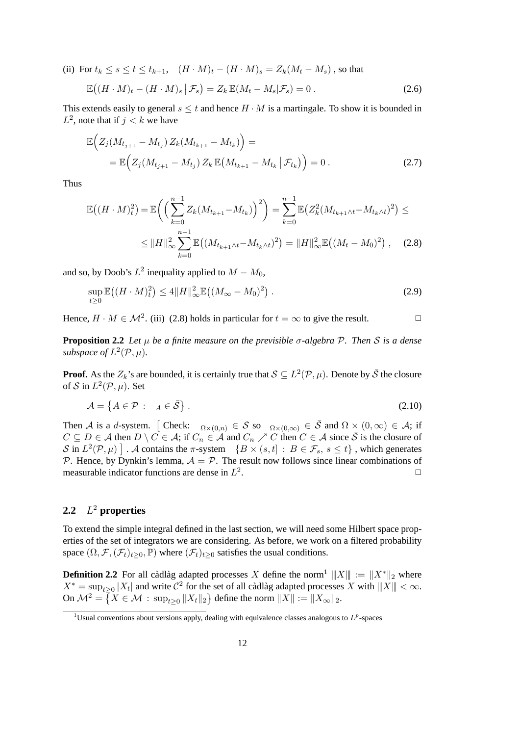(ii) For  $t_k \le s \le t \le t_{k+1}$ ,  $(H \cdot M)_t - (H \cdot M)_s = Z_k(M_t - M_s)$ , so that

$$
\mathbb{E}\big((H \cdot M)_t - (H \cdot M)_s \, \big| \, \mathcal{F}_s\big) = Z_k \, \mathbb{E}(M_t - M_s | \mathcal{F}_s) = 0 \,. \tag{2.6}
$$

This extends easily to general  $s \leq t$  and hence  $H \cdot M$  is a martingale. To show it is bounded in  $L^2$ , note that if  $j < k$  we have

$$
\mathbb{E}\Big(Z_j(M_{t_{j+1}} - M_{t_j}) Z_k(M_{t_{k+1}} - M_{t_k})\Big) =
$$
\n
$$
= \mathbb{E}\Big(Z_j(M_{t_{j+1}} - M_{t_j}) Z_k \mathbb{E}\big(M_{t_{k+1}} - M_{t_k} | \mathcal{F}_{t_k}\big)\Big) = 0.
$$
\n(2.7)

Thus

<span id="page-11-1"></span>
$$
\mathbb{E}\left((H \cdot M)^2_t\right) = \mathbb{E}\left(\left(\sum_{k=0}^{n-1} Z_k (M_{t_{k+1}} - M_{t_k})\right)^2\right) = \sum_{k=0}^{n-1} \mathbb{E}\left(Z_k^2 (M_{t_{k+1} \wedge t} - M_{t_k \wedge t})^2\right) \le
$$
  
 
$$
\leq \|H\|^2_{\infty} \sum_{k=0}^{n-1} \mathbb{E}\left((M_{t_{k+1} \wedge t} - M_{t_k \wedge t})^2\right) = \|H\|^2_{\infty} \mathbb{E}\left((M_t - M_0)^2\right), \quad (2.8)
$$

and so, by Doob's  $L^2$  inequality applied to  $M - M_0$ ,

$$
\sup_{t\geq 0} \mathbb{E}\left((H \cdot M)_t^2\right) \leq 4\|H\|_{\infty}^2 \mathbb{E}\left((M_{\infty} - M_0)^2\right). \tag{2.9}
$$

<span id="page-11-4"></span>Hence,  $H \cdot M \in \mathcal{M}^2$ . (iii) [\(2.8\)](#page-11-1) holds in particular for  $t = \infty$  to give the result.

**Proposition 2.2** *Let* µ *be a finite measure on the previsible* σ*-algebra* P*. Then* S *is a dense subspace of*  $L^2(\mathcal{P}, \mu)$ *.* 

**Proof.** As the  $Z_k$ 's are bounded, it is certainly true that  $\mathcal{S} \subseteq L^2(\mathcal{P}, \mu)$ . Denote by  $\bar{\mathcal{S}}$  the closure of S in  $L^2(\mathcal{P}, \mu)$ . Set

$$
\mathcal{A} = \{ A \in \mathcal{P} : \mathbf{1}_A \in \bar{\mathcal{S}} \}.
$$
\n(2.10)

Then A is a d-system. [Check:  $1_{\Omega\times(0,n)} \in S$  so  $1_{\Omega\times(0,\infty)} \in \overline{S}$  and  $\Omega\times(0,\infty) \in A$ ; if  $C \subseteq D \in \mathcal{A}$  then  $D \setminus C \in \mathcal{A}$ ; if  $C_n \in \mathcal{A}$  and  $C_n \nearrow C$  then  $C \in \mathcal{A}$  since  $\overline{S}$  is the closure of S in  $L^2(\mathcal{P}, \mu)$  . A contains the  $\pi$ -system  $\{B \times (s, t] : B \in \mathcal{F}_s, s \leq t\}$ , which generates P. Hence, by Dynkin's lemma,  $A = P$ . The result now follows since linear combinations of measurable indicator functions are dense in  $L^2$ . The contract of the contract of  $\Box$ 

#### <span id="page-11-0"></span>**2.2** L <sup>2</sup> **properties**

To extend the simple integral defined in the last section, we will need some Hilbert space properties of the set of integrators we are considering. As before, we work on a filtered probability space  $(\Omega, \mathcal{F}, (\mathcal{F}_t)_{t>0}, \mathbb{P})$  where  $(\mathcal{F}_t)_{t>0}$  satisfies the usual conditions.

**Definition 2.2** For all cadlag adapted processes X define the norm<sup>[1](#page-11-2)</sup>  $||X|| := ||X^*||_2$  where  $X^* = \sup_{t \geq 0} |X_t|$  and write  $C^2$  for the set of all càdlàg adapted processes X with  $||X|| < \infty$ . On  $\mathcal{M}^2 = \left\{ X \in \mathcal{M} \, : \, \sup_{t \geq 0} \|X_t\|_2 \right\}$  define the norm  $\|X\| := \|X_\infty\|_2.$ 

<span id="page-11-3"></span><span id="page-11-2"></span><sup>&</sup>lt;sup>1</sup>Usual conventions about versions apply, dealing with equivalence classes analogous to  $L^p$ -spaces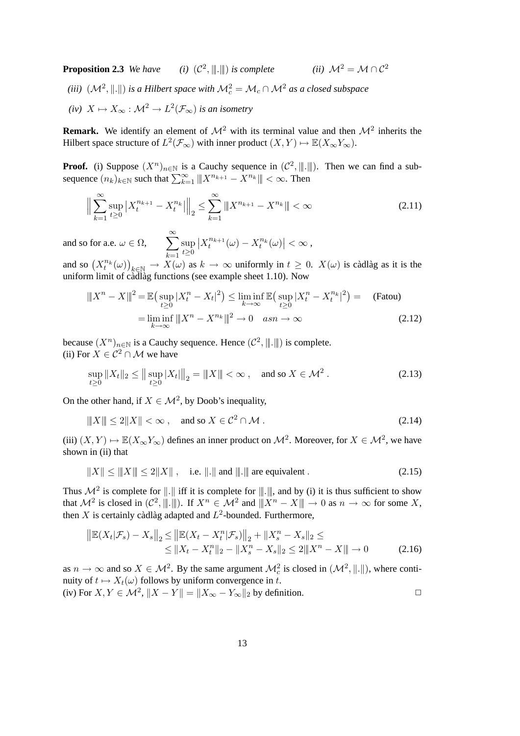**Proposition 2.3** *We have* (i)  $(C^2, \|\!|\!|. \|\!|)$  *is complete* (ii)  $\mathcal{M}^2 = \mathcal{M} \cap C^2$ (iii)  $(\mathcal{M}^2, \|.\|)$  is a Hilbert space with  $\mathcal{M}^2_c = \mathcal{M}_c \cap \mathcal{M}^2$  as a closed subspace (iv)  $X \mapsto X_\infty : \mathcal{M}^2 \to L^2(\mathcal{F}_\infty)$  *is an isometry* 

**Remark.** We identify an element of  $\mathcal{M}^2$  with its terminal value and then  $\mathcal{M}^2$  inherits the Hilbert space structure of  $L^2(\mathcal{F}_\infty)$  with inner product  $(X, Y) \mapsto \mathbb{E}(X_\infty Y_\infty)$ .

**Proof.** (i) Suppose  $(X^n)_{n \in \mathbb{N}}$  is a Cauchy sequence in  $(\mathcal{C}^2, \|\! \|\cdot \|)$ . Then we can find a subsequence  $(n_k)_{k \in \mathbb{N}}$  such that  $\sum_{k=1}^{\infty} ||X^{n_{k+1}} - X^{n_k}|| < \infty$ . Then

$$
\left\| \sum_{k=1}^{\infty} \sup_{t \ge 0} \left| X_t^{n_{k+1}} - X_t^{n_k} \right| \right\|_2 \le \sum_{k=1}^{\infty} \left\| X^{n_{k+1}} - X^{n_k} \right\| < \infty \tag{2.11}
$$

and so for a.e.  $\omega \in \Omega$ ,  $\sum^{\infty}$  $_{k=1}$ sup  $t\geq 0$  $\left|X_t^{n_{k+1}}(\omega)-X_t^{n_k}(\omega)\right|<\infty,$ 

and so  $(X_t^{n_k}(\omega))_{k \in \mathbb{N}} \to X(\omega)$  as  $k \to \infty$  uniformly in  $t \geq 0$ .  $X(\omega)$  is càdlàg as it is the uniform limit of cadlag functions (see example sheet  $1.10$ ). Now

$$
|||X^{n} - X||^{2} = \mathbb{E}\left(\sup_{t \geq 0} |X_{t}^{n} - X_{t}|^{2}\right) \leq \liminf_{k \to \infty} \mathbb{E}\left(\sup_{t \geq 0} |X_{t}^{n} - X_{t}^{n_{k}}|^{2}\right) = \text{(Fatou)}
$$

$$
= \liminf_{k \to \infty} |||X^{n} - X^{n_{k}}||^{2} \to 0 \quad asn \to \infty \tag{2.12}
$$

because  $(X^n)_{n \in \mathbb{N}}$  is a Cauchy sequence. Hence  $(\mathcal{C}^2, \|\! \ldots \! \|\!)$  is complete. (ii) For  $X \in C^2 \cap M$  we have

$$
\sup_{t\geq 0} \|X_t\|_2 \leq \left\| \sup_{t\geq 0} |X_t| \right\|_2 = \|X\| < \infty , \quad \text{and so } X \in \mathcal{M}^2 . \tag{2.13}
$$

On the other hand, if  $X \in \mathcal{M}^2$ , by Doob's inequality,

$$
|||X|| \le 2||X|| < \infty , \quad \text{and so } X \in \mathcal{C}^2 \cap \mathcal{M} .
$$
 (2.14)

(iii)  $(X, Y) \mapsto \mathbb{E}(X_{\infty}Y_{\infty})$  defines an inner product on  $\mathcal{M}^2$ . Moreover, for  $X \in \mathcal{M}^2$ , we have shown in (ii) that

$$
||X|| \le ||X|| \le 2||X||, \quad \text{i.e. } ||.|| \text{ and } ||.|| \text{ are equivalent.}
$$
 (2.15)

Thus  $\mathcal{M}^2$  is complete for  $\|\cdot\|$  iff it is complete for  $\|\cdot\|$ , and by (i) it is thus sufficient to show that  $\mathcal{M}^2$  is closed in  $(\mathcal{C}^2, \|\!|\!|).$  If  $X^n \in \mathcal{M}^2$  and  $\|X^n - X\| \to 0$  as  $n \to \infty$  for some X, then X is certainly càdlàg adapted and  $L^2$ -bounded. Furthermore,

$$
\|\mathbb{E}(X_t|\mathcal{F}_s) - X_s\|_2 \le \|\mathbb{E}(X_t - X_t^n|\mathcal{F}_s)\|_2 + \|X_s^n - X_s\|_2 \le
$$
  
\n
$$
\le \|X_t - X_t^n\|_2 - \|X_s^n - X_s\|_2 \le 2\|X^n - X\| \to 0
$$
\n(2.16)

as  $n \to \infty$  and so  $X \in \mathcal{M}^2$ . By the same argument  $\mathcal{M}_c^2$  is closed in  $(\mathcal{M}^2, \|\. \|)$ , where continuity of  $t \mapsto X_t(\omega)$  follows by uniform convergence in t. (iv) For  $X, Y \in \mathcal{M}^2$ ,  $||X - Y|| = ||X_{\infty} - Y_{\infty}||_2$  by definition.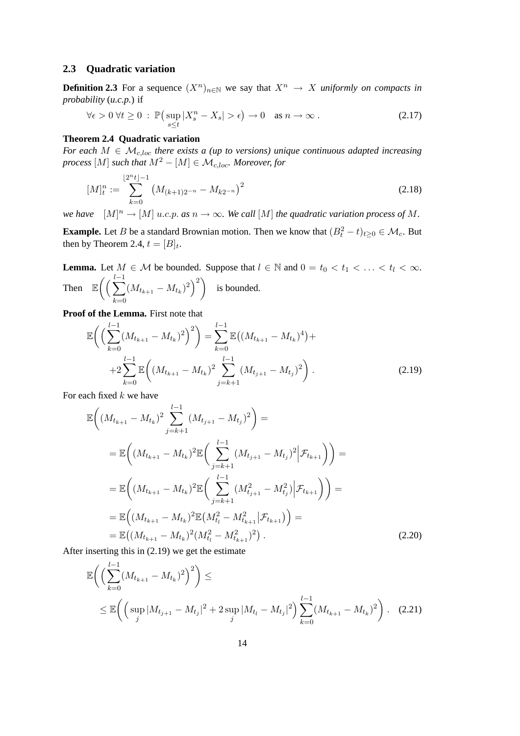#### <span id="page-13-0"></span>**2.3 Quadratic variation**

**Definition 2.3** For a sequence  $(X^n)_{n \in \mathbb{N}}$  we say that  $X^n \to X$  *uniformly on compacts in probability* (*u.c.p.*) if

$$
\forall \epsilon > 0 \; \forall t \ge 0 \; : \; \mathbb{P}\big(\sup_{s \le t} |X_s^n - X_s| > \epsilon\big) \to 0 \quad \text{as } n \to \infty \; . \tag{2.17}
$$

### <span id="page-13-1"></span>**Theorem 2.4 Quadratic variation**

*For each*  $M \in \mathcal{M}_{c,loc}$  *there exists a (up to versions) unique continuous adapted increasing process* [M] *such that*  $M^2 - [M] \in \mathcal{M}_{c, loc}$ *. Moreover, for* 

<span id="page-13-3"></span>
$$
[M]_{t}^{n} := \sum_{k=0}^{\lfloor 2^{n} t \rfloor - 1} \left( M_{(k+1)2^{-n}} - M_{k2^{-n}} \right)^{2}
$$
\n(2.18)

*we have*  $[M]^n \to [M]$  u.c.p. as  $n \to \infty$ . We call  $[M]$  the quadratic variation process of M.

**Example.** Let B be a standard Brownian motion. Then we know that  $(B_t^2 - t)_{t \geq 0} \in \mathcal{M}_c$ . But then by Theorem [2.4,](#page-13-1)  $t = [B]_t$ .

**Lemma.** Let  $M \in \mathcal{M}$  be bounded. Suppose that  $l \in \mathbb{N}$  and  $0 = t_0 < t_1 < \ldots < t_l < \infty$ . Then  $\mathbb{E} \left( \left( \sum_{i=1}^{l-1} \right)$  $_{k=0}$  $(M_{t_{k+1}} - M_{t_k})^2)$  is bounded.

**Proof of the Lemma.** First note that

<span id="page-13-2"></span>
$$
\mathbb{E}\left(\left(\sum_{k=0}^{l-1} (M_{t_{k+1}} - M_{t_k})^2\right)^2\right) = \sum_{k=0}^{l-1} \mathbb{E}\left((M_{t_{k+1}} - M_{t_k})^4\right) + 2\sum_{k=0}^{l-1} \mathbb{E}\left((M_{t_{k+1}} - M_{t_k})^2\sum_{j=k+1}^{l-1} (M_{t_{j+1}} - M_{t_j})^2\right).
$$
\n(2.19)

For each fixed  $k$  we have

$$
\mathbb{E}\left((M_{t_{k+1}} - M_{t_k})^2 \sum_{j=k+1}^{l-1} (M_{t_{j+1}} - M_{t_j})^2\right) =
$$
\n
$$
= \mathbb{E}\left((M_{t_{k+1}} - M_{t_k})^2 \mathbb{E}\left(\sum_{j=k+1}^{l-1} (M_{t_{j+1}} - M_{t_j})^2 \big| \mathcal{F}_{t_{k+1}}\right)\right) =
$$
\n
$$
= \mathbb{E}\left((M_{t_{k+1}} - M_{t_k})^2 \mathbb{E}\left(\sum_{j=k+1}^{l-1} (M_{t_{j+1}}^2 - M_{t_j}^2) \big| \mathcal{F}_{t_{k+1}}\right)\right) =
$$
\n
$$
= \mathbb{E}\left((M_{t_{k+1}} - M_{t_k})^2 \mathbb{E}(M_{t_l}^2 - M_{t_{k+1}}^2 | \mathcal{F}_{t_{k+1}})\right) =
$$
\n
$$
= \mathbb{E}\left((M_{t_{k+1}} - M_{t_k})^2 (M_{t_l}^2 - M_{t_{k+1}}^2)^2\right).
$$
\n(2.20)

After inserting this in [\(2.19\)](#page-13-2) we get the estimate

$$
\mathbb{E}\left(\left(\sum_{k=0}^{l-1} (M_{t_{k+1}} - M_{t_k})^2\right)^2\right) \le \le \mathbb{E}\left(\left(\sup_j |M_{t_{j+1}} - M_{t_j}|^2 + 2\sup_j |M_{t_l} - M_{t_j}|^2\right)\sum_{k=0}^{l-1} (M_{t_{k+1}} - M_{t_k})^2\right). \tag{2.21}
$$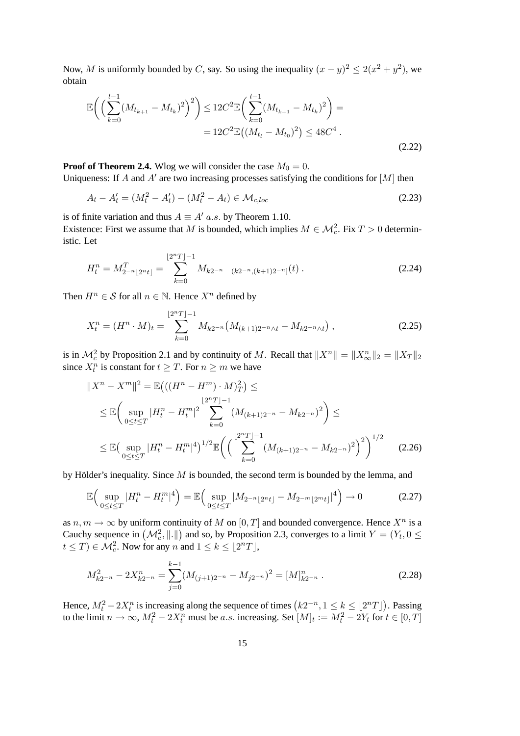Now, M is uniformly bounded by C, say. So using the inequality  $(x - y)^2 \le 2(x^2 + y^2)$ , we obtain

$$
\mathbb{E}\bigg(\Big(\sum_{k=0}^{l-1} (M_{t_{k+1}} - M_{t_k})^2\Big)^2\bigg) \le 12C^2 \mathbb{E}\bigg(\sum_{k=0}^{l-1} (M_{t_{k+1}} - M_{t_k})^2\bigg) =
$$
  
= 12C^2 \mathbb{E}\big((M\_{t\_l} - M\_{t\_0})^2\big) \le 48C^4 . (2.22)

**Proof of Theorem [2.4.](#page-13-1)** Wlog we will consider the case  $M_0 = 0$ .

Uniqueness: If A and A' are two increasing processes satisfying the conditions for  $[M]$  then

$$
A_t - A'_t = (M_t^2 - A'_t) - (M_t^2 - A_t) \in \mathcal{M}_{c,loc}
$$
\n(2.23)

is of finite variation and thus  $A \equiv A'$  a.s. by Theorem [1.10.](#page-8-0)

Existence: First we assume that M is bounded, which implies  $M \in \mathcal{M}_c^2$ . Fix  $T > 0$  deterministic. Let

$$
H_t^n = M_{2^{-n}[2^n t]}^T = \sum_{k=0}^{\lfloor 2^n T \rfloor - 1} M_{k2^{-n}} \mathbf{1}_{(k2^{-n}, (k+1)2^{-n}]}(t) \tag{2.24}
$$

Then  $H^n \in \mathcal{S}$  for all  $n \in \mathbb{N}$ . Hence  $X^n$  defined by

$$
X_t^n = (H^n \cdot M)_t = \sum_{k=0}^{\lfloor 2^n T \rfloor - 1} M_{k2^{-n}} \big( M_{(k+1)2^{-n} \wedge t} - M_{k2^{-n} \wedge t} \big) , \tag{2.25}
$$

is in  $\mathcal{M}_c^2$  by Proposition [2.1](#page-10-2) and by continuity of M. Recall that  $||X^n|| = ||X^n_{\infty}||_2 = ||X_T||_2$ since  $X_t^n$  is constant for  $t \geq T$ . For  $n \geq m$  we have

$$
||X^{n} - X^{m}||^{2} = \mathbb{E}\left(((H^{n} - H^{m}) \cdot M)_{T}^{2}\right) \le
$$
  
\n
$$
\leq \mathbb{E}\left(\sup_{0 \leq t \leq T} |H_{t}^{n} - H_{t}^{m}|^{2} \sum_{k=0}^{\lfloor 2^{n}T \rfloor - 1} (M_{(k+1)2^{-n}} - M_{k2^{-n}})^{2}\right) \leq
$$
  
\n
$$
\leq \mathbb{E}\left(\sup_{0 \leq t \leq T} |H_{t}^{n} - H_{t}^{m}|^{4}\right)^{1/2} \mathbb{E}\left(\left(\sum_{k=0}^{\lfloor 2^{n}T \rfloor - 1} (M_{(k+1)2^{-n}} - M_{k2^{-n}})^{2}\right)^{2}\right)^{1/2}
$$
(2.26)

by Hölder's inequality. Since  $M$  is bounded, the second term is bounded by the lemma, and

$$
\mathbb{E}\Big(\sup_{0\leq t\leq T}|H_t^n - H_t^m|^4\Big) = \mathbb{E}\Big(\sup_{0\leq t\leq T}|M_{2^{-n}\lfloor 2^{n}t\rfloor} - M_{2^{-m}\lfloor 2^{m}t\rfloor}|^4\Big) \to 0\tag{2.27}
$$

as  $n, m \to \infty$  by uniform continuity of M on  $[0, T]$  and bounded convergence. Hence  $X^n$  is a Cauchy sequence in  $(M_c^2, \|\. \|)$  and so, by Proposition [2.3,](#page-11-3) converges to a limit  $Y = (Y_t, 0 \leq$  $t \leq T$ )  $\in \mathcal{M}_c^2$ . Now for any n and  $1 \leq k \leq \lfloor 2^n T \rfloor$ ,

$$
M_{k2^{-n}}^2 - 2X_{k2^{-n}}^n = \sum_{j=0}^{k-1} (M_{(j+1)2^{-n}} - M_{j2^{-n}})^2 = [M]_{k2^{-n}}^n.
$$
 (2.28)

Hence,  $M_t^2 - 2X_t^n$  is increasing along the sequence of times  $(k2^{-n}, 1 \le k \le \lfloor 2^n T \rfloor)$ . Passing to the limit  $n \to \infty$ ,  $M_t^2 - 2X_t^n$  must be a.s. increasing. Set  $[M]_t := M_t^2 - 2Y_t$  for  $t \in [0, T]$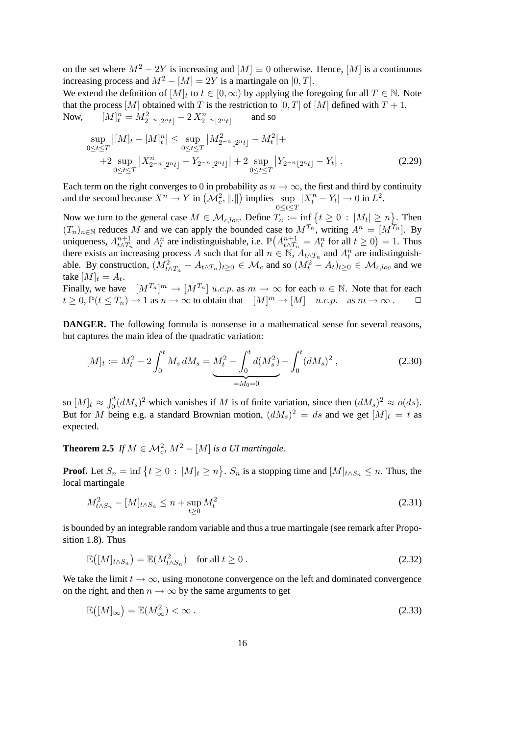on the set where  $M^2 - 2Y$  is increasing and  $[M] \equiv 0$  otherwise. Hence,  $[M]$  is a continuous increasing process and  $M^2 - [M] = 2Y$  is a martingale on [0, T].

We extend the definition of  $[M]_t$  to  $t \in [0, \infty)$  by applying the foregoing for all  $T \in \mathbb{N}$ . Note that the process  $[M]$  obtained with T is the restriction to  $[0, T]$  of  $[M]$  defined with  $T + 1$ . Now,  $t^n = M^2_{2^{-n} \lfloor 2^n t \rfloor} - 2 X^n_{2^{-n} \lfloor 2^n t \rfloor}$ and so

$$
\sup_{0 \le t \le T} |[M]_t - [M]_t^n| \le \sup_{0 \le t \le T} |M_{2^{-n} \lfloor 2^{n} t \rfloor}^2 - M_t^2| +
$$
  
+2 
$$
\sup_{0 \le t \le T} |X_{2^{-n} \lfloor 2^{n} t \rfloor}^n - Y_{2^{-n} \lfloor 2^{n} t \rfloor}| + 2 \sup_{0 \le t \le T} |Y_{2^{-n} \lfloor 2^{n} t \rfloor} - Y_t|.
$$
 (2.29)

Each term on the right converges to 0 in probability as  $n \to \infty$ , the first and third by continuity and the second because  $X^n \to Y$  in  $(\mathcal{M}_c^2, \|\. \|)$  implies sup  $0 \leq t \leq T$  $|X_t^n - Y_t| \to 0$  in  $L^2$ .

Now we turn to the general case  $M \in \mathcal{M}_{c, loc}$ . Define  $T_n := \inf \{ t \geq 0 : |M_t| \geq n \}$ . Then  $(T_n)_{n\in\mathbb{N}}$  reduces M and we can apply the bounded case to  $M^{T_n}$ , writing  $A^n = [M^{T_n}]$ . By uniqueness,  $A_{t\wedge T_n}^{n+1}$  and  $A_t^n$  are indistinguishable, i.e.  $\mathbb{P}(A_{t\wedge T_n}^{n+1}=A_t^n$  for all  $t\geq 0)=1$ . Thus there exists an increasing process A such that for all  $n \in \mathbb{N}$ ,  $A_{t \wedge T_n}$  and  $A_t^n$  are indistinguishable. By construction,  $(M_{t\wedge T_n}^2 - A_{t\wedge T_n})_{t\geq 0} \in M_c$  and so  $(M_t^2 - A_t)_{t\geq 0} \in M_{c,loc}$  and we take  $[M]_t = A_t$ .

Finally, we have  $[M^{T_n}]^m \to [M^{T_n}]$  u.c.p. as  $m \to \infty$  for each  $n \in \mathbb{N}$ . Note that for each  $t \geq 0$ ,  $\mathbb{P}(t \leq T_n) \to 1$  as  $n \to \infty$  to obtain that  $[M]^m \to [M]$  u.c.p. as  $m \to \infty$ .

**DANGER.** The following formula is nonsense in a mathematical sense for several reasons, but captures the main idea of the quadratic variation:

<span id="page-15-0"></span>
$$
[M]_t := M_t^2 - 2 \int_0^t M_s \, dM_s = \underbrace{M_t^2 - \int_0^t d(M_s^2)}_{=M_0 = 0} + \int_0^t (dM_s)^2 \,, \tag{2.30}
$$

so  $[M]_t \approx \int_0^t (dM_s)^2$  which vanishes if M is of finite variation, since then  $(dM_s)^2 \approx o(ds)$ . But for M being e.g. a standard Brownian motion,  $(dM_s)^2 = ds$  and we get  $[M]_t = t$  as expected.

<span id="page-15-1"></span>**Theorem 2.5** *If*  $M \in \mathcal{M}_c^2$ ,  $M^2 - [M]$  *is a UI martingale.* 

**Proof.** Let  $S_n = \inf \{ t \ge 0 : [M]_t \ge n \}$ .  $S_n$  is a stopping time and  $[M]_{t \wedge S_n} \le n$ . Thus, the local martingale

$$
M_{t \wedge S_n}^2 - [M]_{t \wedge S_n} \le n + \sup_{t \ge 0} M_t^2
$$
\n(2.31)

is bounded by an integrable random variable and thus a true martingale (see remark after Proposition [1.8\)](#page-7-2). Thus

$$
\mathbb{E}\left(\left[M\right]_{t\wedge S_n}\right) = \mathbb{E}(M_{t\wedge S_n}^2) \quad \text{for all } t \ge 0 \,.
$$

We take the limit  $t \to \infty$ , using monotone convergence on the left and dominated convergence on the right, and then  $n \to \infty$  by the same arguments to get

$$
\mathbb{E}\left(\left[M\right]_{\infty}\right) = \mathbb{E}(M_{\infty}^2) < \infty \tag{2.33}
$$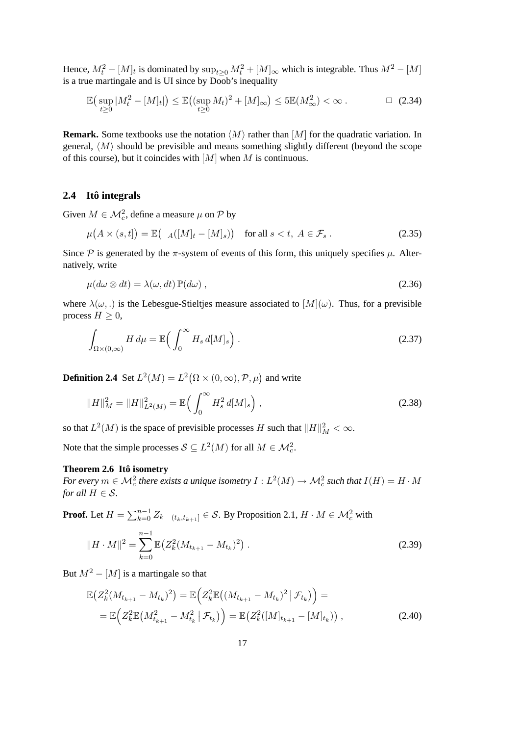Hence,  $M_t^2 - [M]_t$  is dominated by  $\sup_{t \geq 0} M_t^2 + [M]_{\infty}$  which is integrable. Thus  $M^2 - [M]$ is a true martingale and is UI since by Doob's inequality

$$
\mathbb{E}\left(\sup_{t\geq 0}|M_t^2 - [M]_t|\right) \leq \mathbb{E}\left((\sup_{t\geq 0} M_t)^2 + [M]_\infty\right) \leq 5\mathbb{E}(M_\infty^2) < \infty \,. \tag{2.34}
$$

**Remark.** Some textbooks use the notation  $\langle M \rangle$  rather than  $[M]$  for the quadratic variation. In general,  $\langle M \rangle$  should be previsible and means something slightly different (beyond the scope of this course), but it coincides with  $[M]$  when M is continuous.

#### <span id="page-16-0"></span>**2.4 Ito integrals ˆ**

Given  $M \in \mathcal{M}_c^2$ , define a measure  $\mu$  on  $\mathcal{P}$  by

$$
\mu(A \times (s,t]) = \mathbb{E}\big(\mathbf{1}_A([M]_t - [M]_s)\big) \quad \text{for all } s < t, \ A \in \mathcal{F}_s \,. \tag{2.35}
$$

Since P is generated by the  $\pi$ -system of events of this form, this uniquely specifies  $\mu$ . Alternatively, write

$$
\mu(d\omega \otimes dt) = \lambda(\omega, dt) \mathbb{P}(d\omega) , \qquad (2.36)
$$

where  $\lambda(\omega,.)$  is the Lebesgue-Stieltjes measure associated to  $[M](\omega)$ . Thus, for a previsible process  $H \geq 0$ ,

$$
\int_{\Omega \times (0,\infty)} H \, d\mu = \mathbb{E} \Big( \int_0^\infty H_s \, d[M]_s \Big) \,. \tag{2.37}
$$

**Definition 2.4** Set  $L^2(M) = L^2(\Omega \times (0, \infty), \mathcal{P}, \mu)$  and write

$$
||H||_M^2 = ||H||_{L^2(M)}^2 = \mathbb{E}\left(\int_0^\infty H_s^2 \, d[M]_s\right),\tag{2.38}
$$

so that  $L^2(M)$  is the space of previsible processes H such that  $||H||_M^2 < \infty$ .

<span id="page-16-1"></span>Note that the simple processes  $\mathcal{S} \subseteq L^2(M)$  for all  $M \in \mathcal{M}_c^2$ .

#### **Theorem 2.6 Ito isometry ˆ**

For every  $m\in {\cal M}^2_c$  there exists a unique isometry  $I:L^2(M)\to {\cal M}^2_c$  such that  $I(H)=H\cdot M$ *for all*  $H \in \mathcal{S}$ *.* 

**Proof.** Let  $H = \sum_{k=0}^{n-1} Z_k \mathbf{1}_{(t_k,t_{k+1}]} \in \mathcal{S}$ . By Proposition [2.1,](#page-10-2)  $H \cdot M \in \mathcal{M}_c^2$  with

$$
||H \cdot M||^2 = \sum_{k=0}^{n-1} \mathbb{E} \big( Z_k^2 (M_{t_{k+1}} - M_{t_k})^2 \big) \,. \tag{2.39}
$$

But  $M^2 - [M]$  is a martingale so that

$$
\mathbb{E}\big(Z_k^2(M_{t_{k+1}}-M_{t_k})^2\big)=\mathbb{E}\Big(Z_k^2\mathbb{E}\big((M_{t_{k+1}}-M_{t_k})^2\,\big|\,\mathcal{F}_{t_k}\big)\Big)=\newline=\mathbb{E}\Big(Z_k^2\mathbb{E}\big(M_{t_{k+1}}^2-M_{t_k}^2\,\big|\,\mathcal{F}_{t_k}\big)\Big)=\mathbb{E}\big(Z_k^2([M]_{t_{k+1}}-[M]_{t_k})\big)\;,
$$
\n(2.40)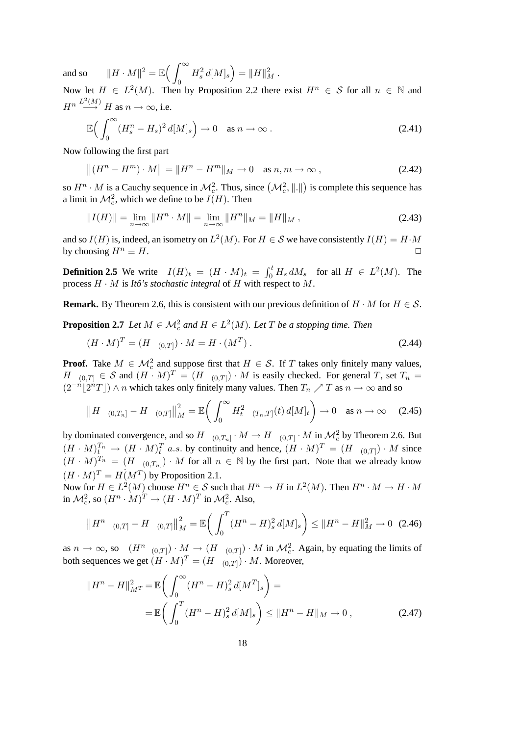and so  $||H \cdot M||^2 = \mathbb{E} \left( \int_{-\infty}^{\infty}$  $\boldsymbol{0}$  $H_s^2 d[M]_s = ||H||_M^2.$ 

Now let  $H \in L^2(M)$ . Then by Proposition [2.2](#page-11-4) there exist  $H^n \in \mathcal{S}$  for all  $n \in \mathbb{N}$  and  $H^n \stackrel{L^2(M)}{\longrightarrow} H$  as  $n \to \infty$ , i.e.

$$
\mathbb{E}\Big(\int_0^\infty (H_s^n - H_s)^2 \, d[M]_s\Big) \to 0 \quad \text{as } n \to \infty \,.
$$

Now following the first part

$$
||(H^n - H^m) \cdot M|| = ||H^n - H^m||_M \to 0 \quad \text{as } n, m \to \infty ,
$$
 (2.42)

so  $H^n \cdot M$  is a Cauchy sequence in  $\mathcal{M}_c^2$ . Thus, since  $(\mathcal{M}_c^2, \|\cdot\|)$  is complete this sequence has a limit in  $\mathcal{M}_c^2$ , which we define to be  $I(H)$ . Then

$$
||I(H)|| = \lim_{n \to \infty} ||H^n \cdot M|| = \lim_{n \to \infty} ||H^n||_M = ||H||_M,
$$
\n(2.43)

and so  $I(H)$  is, indeed, an isometry on  $L^2(M)$ . For  $H \in \mathcal{S}$  we have consistently  $I(H) = H \cdot M$ by choosing  $H^n \equiv H$ .

**Definition 2.5** We write  $I(H)_t = (H \cdot M)_t = \int_0^t H_s dM_s$  for all  $H \in L^2(M)$ . The process  $H \cdot M$  is *Itô's stochastic integral* of  $H$  with respect to  $M$ .

<span id="page-17-0"></span>**Remark.** By Theorem [2.6,](#page-16-1) this is consistent with our previous definition of  $H \cdot M$  for  $H \in \mathcal{S}$ .

**Proposition 2.7** *Let*  $M \in \mathcal{M}_c^2$  and  $H \in L^2(M)$ *. Let*  $T$  *be a stopping time. Then* 

$$
(H \cdot M)^T = (H \mathbf{1}_{(0,T)}) \cdot M = H \cdot (M^T).
$$
\n(2.44)

**Proof.** Take  $M \in \mathcal{M}_c^2$  and suppose first that  $H \in \mathcal{S}$ . If T takes only finitely many values,  $H 1_{(0,T]} \in S$  and  $(H \cdot M)^T = (H 1_{(0,T]}) \cdot M$  is easily checked. For general T, set  $T_n =$  $(2^{-n} \lfloor 2^{n} T \rfloor) \wedge n$  which takes only finitely many values. Then  $T_n \nearrow T$  as  $n \to \infty$  and so

$$
\left\|H\,\mathbf{1}_{(0,T_n]} - H\,\mathbf{1}_{(0,T]}\right\|_{M}^{2} = \mathbb{E}\bigg(\int_{0}^{\infty} H_t^2\,\mathbf{1}_{(T_n,T]}(t)\,d[M]_t\bigg) \to 0 \quad \text{as } n \to \infty \quad (2.45)
$$

by dominated convergence, and so  $H 1_{(0,T_n]} \cdot M \to H 1_{(0,T]} \cdot M$  in  $\mathcal{M}_c^2$  by Theorem [2.6.](#page-16-1) But  $(H \cdot M)_t^{T_n} \to (H \cdot M)_t^T$  a.s. by continuity and hence,  $(H \cdot M)^T = (H \cdot 1_{(0,T]}) \cdot M$  since  $(H \cdot M)^{T_n} = (H \mathbf{1}_{(0,T_n]}) \cdot M$  for all  $n \in \mathbb{N}$  by the first part. Note that we already know  $(H \cdot M)^T = H(M^T)$  by Proposition [2.1.](#page-10-2)

Now for  $H \in L^2(M)$  choose  $H^n \in \mathcal{S}$  such that  $H^n \to H$  in  $L^2(M)$ . Then  $H^n \cdot M \to H \cdot M$ in  $\mathcal{M}_c^2$ , so  $(H^n \cdot M)^T \to (H \cdot M)^T$  in  $\mathcal{M}_c^2$ . Also,

$$
\left\| H^n \mathbf{1}_{(0,T]} - H \mathbf{1}_{(0,T]} \right\|_{M}^2 = \mathbb{E} \bigg( \int_0^T (H^n - H)_s^2 \, d[M]_s \bigg) \le \| H^n - H \|_{M}^2 \to 0 \tag{2.46}
$$

as  $n \to \infty$ , so  $(H^{n}1_{(0,T]}) \cdot M \to (H 1_{(0,T]}) \cdot M$  in  $\mathcal{M}_c^2$ . Again, by equating the limits of both sequences we get  $(H \cdot M)^T = (H \, 1_{(0,T]}) \cdot M$ . Moreover,

$$
||H^{n} - H||_{M^{T}}^{2} = \mathbb{E}\left(\int_{0}^{\infty} (H^{n} - H)_{s}^{2} d[M^{T}]_{s}\right) =
$$
  
=  $\mathbb{E}\left(\int_{0}^{T} (H^{n} - H)_{s}^{2} d[M]_{s}\right) \leq ||H^{n} - H||_{M} \to 0,$  (2.47)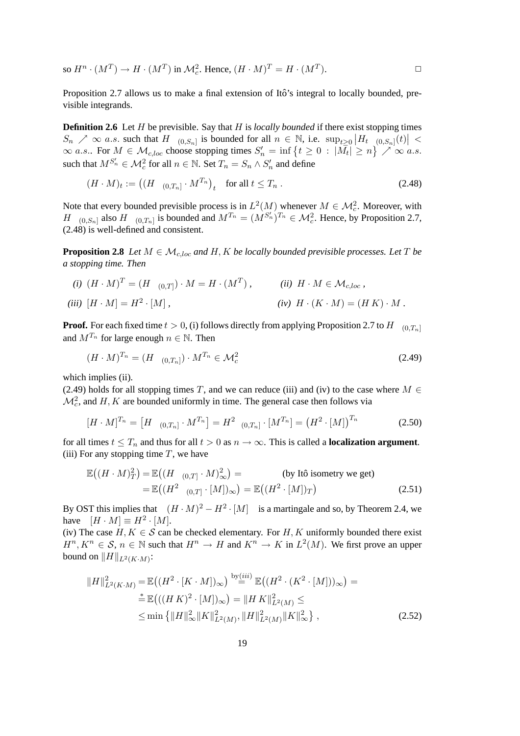so  $H^n \cdot (M^T) \to H \cdot (M^T)$  in  $\mathcal{M}_c^2$ . Hence,  $(H \cdot M)^T = H \cdot (M^T)$ ).  $\qquad \qquad \Box$ 

Proposition [2.7](#page-17-0) allows us to make a final extension of Itô's integral to locally bounded, previsible integrands.

<span id="page-18-3"></span>**Definition 2.6** Let H be previsible. Say that H is *locally bounded* if there exist stopping times  $S_n \nearrow \infty$  a.s. such that  $H1_{(0,S_n]}$  is bounded for all  $n \in \mathbb{N}$ , i.e.  $\sup_{t \geq 0} |H_t1_{(0,S_n]}(t)| <$  $\infty$  a.s.. For  $M \in \mathcal{M}_{c, loc}$  choose stopping times  $S'_n = \inf \{ t \geq 0 : |\bar{M_t}| \geq n \}$   $\nearrow \infty$  a.s. such that  $M^{S'_n} \in \mathcal{M}_c^2$  for all  $n \in \mathbb{N}$ . Set  $T_n = S_n \wedge S'_n$  and define

<span id="page-18-0"></span>
$$
(H \cdot M)_t := \left( (H \mathbf{1}_{(0,T_n]} \cdot M^{T_n})_t \quad \text{for all } t \le T_n . \right) \tag{2.48}
$$

Note that every bounded previsible process is in  $L^2(M)$  whenever  $M \in \mathcal{M}_c^2$ . Moreover, with H 1<sub>(0,Sn</sub>) also H 1<sub>(0,Tn</sub>) is bounded and  $M^{T_n} = (M^{S'_n})^{T_n} \in \mathcal{M}_c^2$ . Hence, by Proposition [2.7,](#page-17-0) [\(2.48\)](#page-18-0) is well-defined and consistent.

<span id="page-18-4"></span>**Proposition 2.8** *Let*  $M \in \mathcal{M}_{c,loc}$  *and*  $H, K$  *be locally bounded previsible processes. Let*  $T$  *be a stopping time. Then*

*(i)*  $(H \cdot M)^T = (H \cdot 1_{(0,T]}) \cdot M = H \cdot (M^T)$ , *(ii)*  $H \cdot M \in \mathcal{M}_{c,loc}$ , *(iii)*  $[H \cdot M] = H^2 \cdot [M]$ .  $(iv)$   $H \cdot (K \cdot M) = (H K) \cdot M$ .

**Proof.** For each fixed time  $t > 0$ , (i) follows directly from applying Proposition [2.7](#page-17-0) to H 1<sub>(0,Tn</sub>) and  $M^{T_n}$  for large enough  $n \in \mathbb{N}$ . Then

<span id="page-18-1"></span>
$$
(H \cdot M)^{T_n} = (H \, 1_{(0,T_n]}) \cdot M^{T_n} \in \mathcal{M}_c^2 \tag{2.49}
$$

which implies (ii).

[\(2.49\)](#page-18-1) holds for all stopping times T, and we can reduce (iii) and (iv) to the case where  $M \in$  $\mathcal{M}_c^2$ , and H, K are bounded uniformly in time. The general case then follows via

$$
[H \cdot M]^{T_n} = [H \mathbf{1}_{(0,T_n]} \cdot M^{T_n}] = H^2 \mathbf{1}_{(0,T_n]} \cdot [M^{T_n}] = (H^2 \cdot [M])^{T_n}
$$
(2.50)

for all times  $t \leq T_n$  and thus for all  $t > 0$  as  $n \to \infty$ . This is called a **localization argument**. (iii) For any stopping time  $T$ , we have

$$
\mathbb{E}\left((H \cdot M)_T^2\right) = \mathbb{E}\left((H \cdot 1_{(0,T]} \cdot M)_\infty^2\right) = \text{(by Itô isometry we get)}
$$
\n
$$
= \mathbb{E}\left((H^2 \cdot (M))^2\right) = \mathbb{E}\left((H^2 \cdot [M])_T\right) \tag{2.51}
$$

By OST this implies that  $(H \cdot M)^2 - H^2 \cdot [M]$  is a martingale and so, by Theorem [2.4,](#page-13-1) we have  $[H \cdot M] \equiv H^2 \cdot [M].$ 

(iv) The case  $H, K \in \mathcal{S}$  can be checked elementary. For H, K uniformly bounded there exist  $H^n, K^n \in \mathcal{S}, n \in \mathbb{N}$  such that  $H^n \to H$  and  $K^n \to K$  in  $L^2(M)$ . We first prove an upper bound on  $||H||_{L^2(K \cdot M)}$ :

<span id="page-18-2"></span>
$$
||H||_{L^{2}(K\cdot M)}^{2} = \mathbb{E}((H^{2}\cdot[K\cdot M])_{\infty}) \stackrel{\text{by}(iii)}{=} \mathbb{E}((H^{2}\cdot(K^{2}\cdot[M]))_{\infty}) =
$$
  
\n
$$
\stackrel{\ast}{=} \mathbb{E}(((HK)^{2}\cdot[M])_{\infty}) = ||HK||_{L^{2}(M)}^{2} \le
$$
  
\n
$$
\leq \min \{||H||_{\infty}^{2}||K||_{L^{2}(M)}^{2}, ||H||_{L^{2}(M)}^{2}||K||_{\infty}^{2} \},
$$
\n(2.52)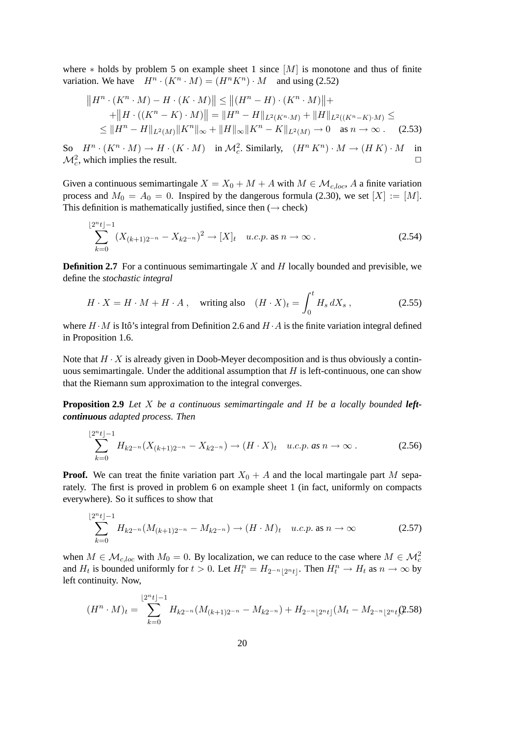where  $*$  holds by problem 5 on example sheet 1 since  $[M]$  is monotone and thus of finite variation. We have  $H^n \cdot (K^n \cdot M) = (H^n K^n) \cdot M$  and using [\(2.52\)](#page-18-2)

$$
||H^n \cdot (K^n \cdot M) - H \cdot (K \cdot M)|| \le ||(H^n - H) \cdot (K^n \cdot M)|| +
$$
  
+ 
$$
||H \cdot ((K^n - K) \cdot M)|| = ||H^n - H||_{L^2(K^n \cdot M)} + ||H||_{L^2((K^n - K) \cdot M)} \le
$$
  

$$
\le ||H^n - H||_{L^2(M)} ||K^n||_{\infty} + ||H||_{\infty} ||K^n - K||_{L^2(M)} \to 0 \text{ as } n \to \infty.
$$
 (2.53)

So  $H^n \cdot (K^n \cdot M) \to H \cdot (K \cdot M)$  in  $\mathcal{M}_c^2$ . Similarly,  $(H^n K^n) \cdot M \to (H K) \cdot M$  in  $\mathcal{M}_c^2$ , which implies the result.

Given a continuous semimartingale  $X = X_0 + M + A$  with  $M \in \mathcal{M}_{c, loc}$ , A a finite variation process and  $M_0 = A_0 = 0$ . Inspired by the dangerous formula [\(2.30\)](#page-15-0), we set  $[X] := [M]$ . This definition is mathematically justified, since then  $(\rightarrow$  check)

$$
\sum_{k=0}^{\lfloor 2^n t \rfloor - 1} (X_{(k+1)2^{-n}} - X_{k2^{-n}})^2 \to [X]_t \quad u.c.p. \text{ as } n \to \infty. \tag{2.54}
$$

**Definition 2.7** For a continuous semimartingale  $X$  and  $H$  locally bounded and previsible, we define the *stochastic integral*

$$
H \cdot X = H \cdot M + H \cdot A \,, \quad \text{writing also} \quad (H \cdot X)_t = \int_0^t H_s \, dX_s \,, \tag{2.55}
$$

where  $H \cdot M$  is Itô's integral from Definition [2.6](#page-18-3) and  $H \cdot A$  is the finite variation integral defined in Proposition [1.6.](#page-6-0)

Note that  $H \cdot X$  is already given in Doob-Meyer decomposition and is thus obviously a continuous semimartingale. Under the additional assumption that  $H$  is left-continuous, one can show that the Riemann sum approximation to the integral converges.

<span id="page-19-0"></span>**Proposition 2.9** *Let* X *be a continuous semimartingale and* H *be a locally bounded leftcontinuous adapted process. Then*

$$
\sum_{k=0}^{\lfloor 2^n t \rfloor - 1} H_{k2^{-n}}(X_{(k+1)2^{-n}} - X_{k2^{-n}}) \to (H \cdot X)_t \quad u.c.p. \text{ as } n \to \infty. \tag{2.56}
$$

**Proof.** We can treat the finite variation part  $X_0 + A$  and the local martingale part M separately. The first is proved in problem 6 on example sheet 1 (in fact, uniformly on compacts everywhere). So it suffices to show that

$$
\sum_{k=0}^{\lfloor 2^n t \rfloor - 1} H_{k2^{-n}}(M_{(k+1)2^{-n}} - M_{k2^{-n}}) \to (H \cdot M)_t \quad u.c.p. \text{ as } n \to \infty \tag{2.57}
$$

when  $M \in \mathcal{M}_{c, loc}$  with  $M_0 = 0$ . By localization, we can reduce to the case where  $M \in \mathcal{M}_c^2$ and  $H_t$  is bounded uniformly for  $t > 0$ . Let  $H_t^n = H_{2^{-n} \lfloor 2^n t \rfloor}$ . Then  $H_t^n \to H_t$  as  $n \to \infty$  by left continuity. Now,

$$
(H^{n} \cdot M)_{t} = \sum_{k=0}^{\lfloor 2^{n} t \rfloor - 1} H_{k2^{-n}}(M_{(k+1)2^{-n}} - M_{k2^{-n}}) + H_{2^{-n} \lfloor 2^{n} t \rfloor}(M_{t} - M_{2^{-n} \lfloor 2^{n} t \rfloor}(2.58))
$$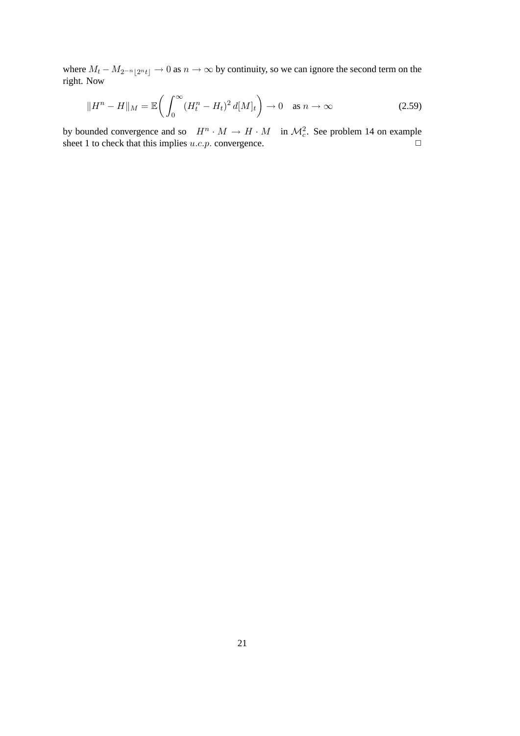where  $M_t - M_{2^{-n}|2^n t|} \to 0$  as  $n \to \infty$  by continuity, so we can ignore the second term on the right. Now

$$
||H^n - H||_M = \mathbb{E}\left(\int_0^\infty (H_t^n - H_t)^2 d[M]_t\right) \to 0 \quad \text{as } n \to \infty \tag{2.59}
$$

by bounded convergence and so  $H^n \cdot M \to H \cdot M$  in  $\mathcal{M}_c^2$ . See problem 14 on example sheet 1 to check that this implies  $u.c.p.$  convergence.  $\Box$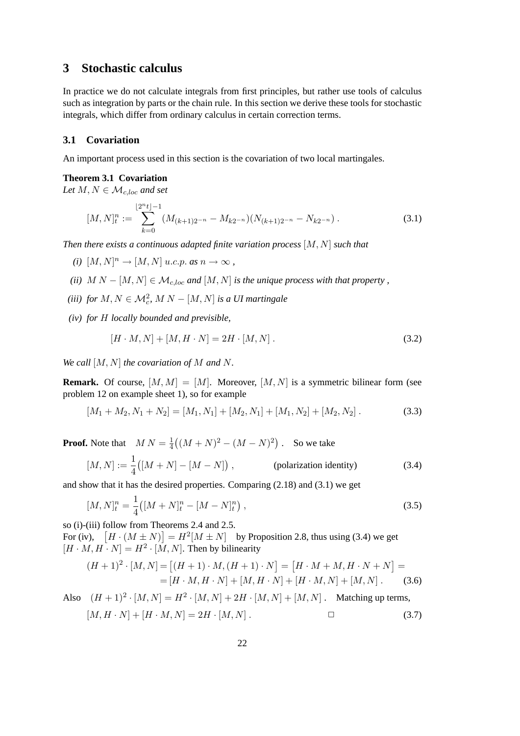### <span id="page-21-0"></span>**3 Stochastic calculus**

In practice we do not calculate integrals from first principles, but rather use tools of calculus such as integration by parts or the chain rule. In this section we derive these tools for stochastic integrals, which differ from ordinary calculus in certain correction terms.

### <span id="page-21-1"></span>**3.1 Covariation**

<span id="page-21-4"></span>An important process used in this section is the covariation of two local martingales.

#### **Theorem 3.1 Covariation**

Let  $M, N \in \mathcal{M}_{c, loc}$  and set

<span id="page-21-2"></span>
$$
[M,N]_t^n := \sum_{k=0}^{\lfloor 2^n t \rfloor - 1} (M_{(k+1)2^{-n}} - M_{k2^{-n}}) (N_{(k+1)2^{-n}} - N_{k2^{-n}}) \tag{3.1}
$$

*Then there exists a continuous adapted finite variation process* [M, N] *such that*

- $(i)$   $[M, N]^n \rightarrow [M, N]$  *u.c.p. as*  $n \rightarrow \infty$ ,
- *(ii)*  $M N [M, N] \in \mathcal{M}_{c, loc}$  *and*  $[M, N]$  *is the unique process with that property*,
- (*iii*) *for*  $M, N \in \mathcal{M}_c^2$ ,  $M N [M, N]$  *is a UI martingale*
- *(iv) for* H *locally bounded and previsible,*

$$
[H \cdot M, N] + [M, H \cdot N] = 2H \cdot [M, N].
$$
\n(3.2)

*We call* [M, N] *the covariation of* M *and* N*.*

**Remark.** Of course,  $[M, M] = [M]$ . Moreover,  $[M, N]$  is a symmetric bilinear form (see problem 12 on example sheet 1), so for example

$$
[M_1 + M_2, N_1 + N_2] = [M_1, N_1] + [M_2, N_1] + [M_1, N_2] + [M_2, N_2].
$$
\n(3.3)

**Proof.** Note that  $M N = \frac{1}{4}$  $\frac{1}{4}((M+N)^2 - (M-N)^2)$ . So we take

<span id="page-21-3"></span>
$$
[M,N] := \frac{1}{4} ([M+N] - [M-N]) , \qquad \qquad \text{(polarization identity)} \tag{3.4}
$$

and show that it has the desired properties. Comparing [\(2.18\)](#page-13-3) and [\(3.1\)](#page-21-2) we get

$$
[M,N]_t^n = \frac{1}{4} \left( [M+N]_t^n - [M-N]_t^n \right),\tag{3.5}
$$

so (i)-(iii) follow from Theorems [2.4](#page-13-1) and [2.5.](#page-15-1)

For (iv),  $[H \cdot (M \pm N)] = H^2[M \pm N]$  by Proposition [2.8,](#page-18-4) thus using [\(3.4\)](#page-21-3) we get  $[H \cdot M, H \cdot N] = H^2 \cdot [M, N]$ . Then by bilinearity

$$
(H+1)^2 \cdot [M,N] = [(H+1) \cdot M, (H+1) \cdot N] = [H \cdot M + M, H \cdot N + N] =
$$
  
= [H \cdot M, H \cdot N] + [M, H \cdot N] + [H \cdot M, N] + [M, N] . (3.6)

<span id="page-21-5"></span>Also 
$$
(H + 1)^2 \cdot [M, N] = H^2 \cdot [M, N] + 2H \cdot [M, N] + [M, N]
$$
. Matching up terms,  
\n $[M, H \cdot N] + [H \cdot M, N] = 2H \cdot [M, N]$ .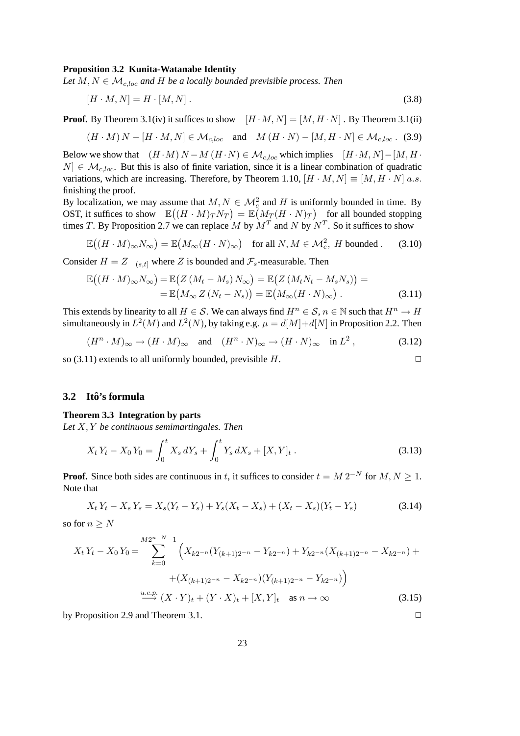#### **Proposition 3.2 Kunita-Watanabe Identity**

Let  $M, N \in \mathcal{M}_{c, loc}$  and  $H$  *be a locally bounded previsible process. Then* 

$$
[H \cdot M, N] = H \cdot [M, N]. \tag{3.8}
$$

**Proof.** By Theorem [3.1\(](#page-21-4)iv) it suffices to show  $[H \cdot M, N] = [M, H \cdot N]$ . By Theorem 3.1(ii)

$$
(H \cdot M) N - [H \cdot M, N] \in \mathcal{M}_{c, loc} \quad \text{and} \quad M (H \cdot N) - [M, H \cdot N] \in \mathcal{M}_{c, loc} \quad (3.9)
$$

Below we show that  $(H \cdot M) N - M (H \cdot N) \in M_{c,loc}$  which implies  $[H \cdot M, N] - [M, H \cdot M]$  $N \in \mathcal{M}_{c,loc}$ . But this is also of finite variation, since it is a linear combination of quadratic variations, which are increasing. Therefore, by Theorem [1.10,](#page-8-0)  $[H \cdot M, N] \equiv [M, H \cdot N]$  a.s. finishing the proof.

By localization, we may assume that  $M, N \in \mathcal{M}_c^2$  and H is uniformly bounded in time. By OST, it suffices to show  $\mathbb{E}((H \cdot M)_T N_T) = \mathbb{E}(M_T (H \cdot N)_T)$  for all bounded stopping times T. By Proposition [2.7](#page-17-0) we can replace M by  $M<sup>T</sup>$  and N by  $N<sup>T</sup>$ . So it suffices to show

$$
\mathbb{E}\big((H \cdot M)_{\infty} N_{\infty}\big) = \mathbb{E}\big(M_{\infty}(H \cdot N)_{\infty}\big) \quad \text{for all } N, M \in \mathcal{M}_c^2, H \text{ bounded}. \tag{3.10}
$$

Consider  $H = Z 1_{(s,t]}$  where Z is bounded and  $\mathcal{F}_s$ -measurable. Then

<span id="page-22-1"></span>
$$
\mathbb{E}\big((H \cdot M)_{\infty} N_{\infty}\big) = \mathbb{E}\big(Z\left(M_t - M_s\right) N_{\infty}\big) = \mathbb{E}\big(Z\left(M_t N_t - M_s N_s\right)\big) =
$$
\n
$$
= \mathbb{E}\big(M_{\infty} Z\left(N_t - N_s\right)\big) = \mathbb{E}\big(M_{\infty} (H \cdot N)_{\infty}\big) \,.
$$
\n(3.11)

This extends by linearity to all  $H \in \mathcal{S}$ . We can always find  $H^n \in \mathcal{S}$ ,  $n \in \mathbb{N}$  such that  $H^n \to H$ simultaneously in  $L^2(M)$  and  $L^2(N)$ , by taking e.g.  $\mu = d[M]+d[N]$  in Proposition [2.2.](#page-11-4) Then

 $(H^n \cdot M)_{\infty} \to (H \cdot M)_{\infty} \quad \text{and} \quad (H^n \cdot N)_{\infty} \to (H \cdot N)_{\infty} \quad \text{in } L^2$  $(3.12)$ 

so [\(3.11\)](#page-22-1) extends to all uniformly bounded, previsible  $H$ .

#### <span id="page-22-0"></span>**3.2 Ito's formula ˆ**

#### <span id="page-22-2"></span>**Theorem 3.3 Integration by parts**

*Let* X, Y *be continuous semimartingales. Then*

$$
X_t Y_t - X_0 Y_0 = \int_0^t X_s dY_s + \int_0^t Y_s dX_s + [X, Y]_t.
$$
\n(3.13)

**Proof.** Since both sides are continuous in t, it suffices to consider  $t = M 2^{-N}$  for  $M, N \ge 1$ . Note that

$$
X_t Y_t - X_s Y_s = X_s (Y_t - Y_s) + Y_s (X_t - X_s) + (X_t - X_s) (Y_t - Y_s)
$$
\n(3.14)

so for  $n \geq N$ 

$$
X_t Y_t - X_0 Y_0 = \sum_{k=0}^{M2^{n-N}-1} \left( X_{k2^{-n}} (Y_{(k+1)2^{-n}} - Y_{k2^{-n}}) + Y_{k2^{-n}} (X_{(k+1)2^{-n}} - X_{k2^{-n}}) + (X_{(k+1)2^{-n}} - X_{k2^{-n}}) (Y_{(k+1)2^{-n}} - Y_{k2^{-n}}) \right)
$$
  

$$
\xrightarrow{u.c.p.} (X \cdot Y)_t + (Y \cdot X)_t + [X, Y]_t \text{ as } n \to \infty
$$
 (3.15)

by Proposition [2.9](#page-19-0) and Theorem [3.1.](#page-21-2)  $\Box$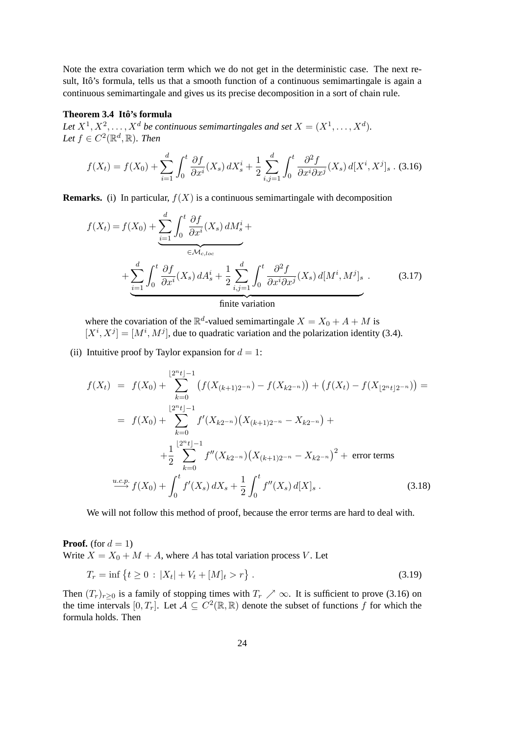Note the extra covariation term which we do not get in the deterministic case. The next result, Itô's formula, tells us that a smooth function of a continuous semimartingale is again a continuous semimartingale and gives us its precise decomposition in a sort of chain rule.

#### <span id="page-23-1"></span>**Theorem 3.4 Ito's formula ˆ**

Let  $X^1, X^2, \ldots, X^d$  be continuous semimartingales and set  $X = (X^1, \ldots, X^d)$ . Let  $f \in C^2(\mathbb{R}^d, \mathbb{R})$ *. Then* 

<span id="page-23-0"></span>
$$
f(X_t) = f(X_0) + \sum_{i=1}^d \int_0^t \frac{\partial f}{\partial x^i}(X_s) \, dX_s^i + \frac{1}{2} \sum_{i,j=1}^d \int_0^t \frac{\partial^2 f}{\partial x^i \partial x^j}(X_s) \, d[X^i, X^j]_s \, . \tag{3.16}
$$

**Remarks.** (i) In particular,  $f(X)$  is a continuous semimartingale with decomposition

$$
f(X_t) = f(X_0) + \underbrace{\sum_{i=1}^d \int_0^t \frac{\partial f}{\partial x^i}(X_s) dM_s^i}_{\in \mathcal{M}_{c, loc}} + \underbrace{\sum_{i=1}^d \int_0^t \frac{\partial f}{\partial x^i}(X_s) dA_s^i}_{\text{finite variation}} + \underbrace{\sum_{i,j=1}^d \int_0^t \frac{\partial^2 f}{\partial x^i \partial x^j}(X_s) d[M^i, M^j]_s}_{\text{finite variation}}.
$$
 (3.17)

where the covariation of the  $\mathbb{R}^d$ -valued semimartingale  $X = X_0 + A + M$  is  $[X^i, X^j] = [M^i, M^j]$ , due to quadratic variation and the polarization identity [\(3.4\)](#page-21-3).

(ii) Intuitive proof by Taylor expansion for  $d = 1$ :

$$
f(X_t) = f(X_0) + \sum_{k=0}^{\lfloor 2^n t \rfloor - 1} \left( f(X_{(k+1)2^{-n}}) - f(X_{k2^{-n}}) \right) + \left( f(X_t) - f(X_{\lfloor 2^n t \rfloor 2^{-n}}) \right) =
$$
  
\n
$$
= f(X_0) + \sum_{k=0}^{\lfloor 2^n t \rfloor - 1} f'(X_{k2^{-n}}) \left( X_{(k+1)2^{-n}} - X_{k2^{-n}} \right) +
$$
  
\n
$$
+ \frac{1}{2} \sum_{k=0}^{\lfloor 2^n t \rfloor - 1} f''(X_{k2^{-n}}) \left( X_{(k+1)2^{-n}} - X_{k2^{-n}} \right)^2 + \text{ error terms}
$$
  
\n
$$
\xrightarrow{u.c.p.} f(X_0) + \int_0^t f'(X_s) \, dX_s + \frac{1}{2} \int_0^t f''(X_s) \, d[X]_s \, . \tag{3.18}
$$

We will not follow this method of proof, because the error terms are hard to deal with.

**Proof.** (for  $d = 1$ )

Write  $X = X_0 + M + A$ , where A has total variation process V. Let

$$
T_r = \inf \left\{ t \ge 0 \, : \, |X_t| + V_t + [M]_t > r \right\} \,. \tag{3.19}
$$

Then  $(T_r)_{r\geq 0}$  is a family of stopping times with  $T_r \nearrow \infty$ . It is sufficient to prove [\(3.16\)](#page-23-0) on the time intervals  $[0, T_r]$ . Let  $\mathcal{A} \subseteq C^2(\mathbb{R}, \mathbb{R})$  denote the subset of functions f for which the formula holds. Then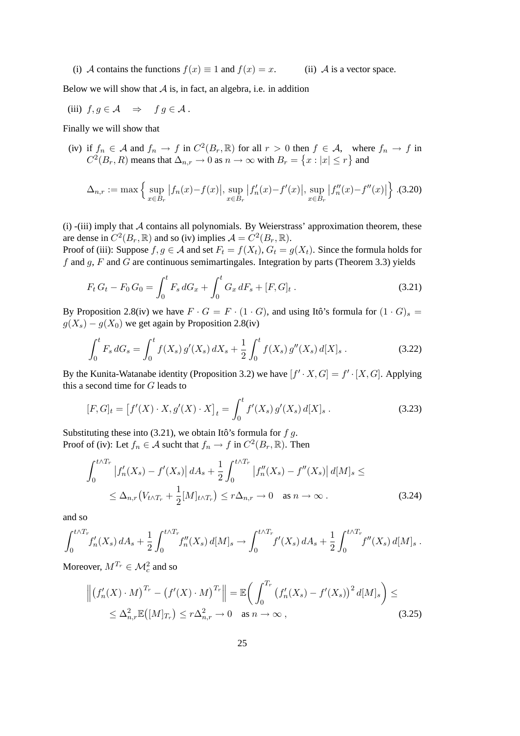(i) A contains the functions  $f(x) \equiv 1$  and  $f(x) = x$ . (ii) A is a vector space.

Below we will show that  $A$  is, in fact, an algebra, i.e. in addition

(iii) 
$$
f, g \in \mathcal{A} \implies fg \in \mathcal{A}
$$
.

Finally we will show that

(iv) if  $f_n \in \mathcal{A}$  and  $f_n \to f$  in  $C^2(B_r, \mathbb{R})$  for all  $r > 0$  then  $f \in \mathcal{A}$ , where  $f_n \to f$  in  $C^2(B_r, R)$  means that  $\Delta_{n,r} \to 0$  as  $n \to \infty$  with  $B_r = \{x : |x| \le r\}$  and

$$
\Delta_{n,r} := \max \left\{ \sup_{x \in B_r} |f_n(x) - f(x)|, \sup_{x \in B_r} |f'_n(x) - f'(x)|, \sup_{x \in B_r} |f''_n(x) - f''(x)| \right\}.
$$
 (3.20)

 $(i)$  -(iii) imply that A contains all polynomials. By Weierstrass' approximation theorem, these are dense in  $C^2(B_r, \mathbb{R})$  and so (iv) implies  $\mathcal{A} = C^2(B_r, \mathbb{R})$ .

Proof of (iii): Suppose  $f, g \in A$  and set  $F_t = f(X_t)$ ,  $G_t = g(X_t)$ . Since the formula holds for f and  $g$ , F and G are continuous semimartingales. Integration by parts (Theorem [3.3\)](#page-22-2) yields

<span id="page-24-0"></span>
$$
F_t G_t - F_0 G_0 = \int_0^t F_s dG_x + \int_0^t G_x dF_s + [F, G]_t .
$$
\n(3.21)

By Proposition [2.8\(](#page-18-4)iv) we have  $F \cdot G = F \cdot (1 \cdot G)$ , and using Itô's formula for  $(1 \cdot G)_s$  $g(X_s) - g(X_0)$  we get again by Proposition [2.8\(](#page-18-4)iv)

$$
\int_0^t F_s \, dG_s = \int_0^t f(X_s) \, g'(X_s) \, dX_s + \frac{1}{2} \int_0^t f(X_s) \, g''(X_s) \, d[X]_s \,. \tag{3.22}
$$

By the Kunita-Watanabe identity (Proposition [3.2\)](#page-21-5) we have  $[f' \cdot X, G] = f' \cdot [X, G]$ . Applying this a second time for G leads to

$$
[F, G]_t = [f'(X) \cdot X, g'(X) \cdot X]_t = \int_0^t f'(X_s) g'(X_s) d[X]_s.
$$
 (3.23)

Substituting these into [\(3.21\)](#page-24-0), we obtain Itô's formula for  $f g$ . Proof of (iv): Let  $f_n \in A$  sucht that  $f_n \to f$  in  $C^2(B_r, \mathbb{R})$ . Then

$$
\int_0^{t \wedge T_r} |f'_n(X_s) - f'(X_s)| dA_s + \frac{1}{2} \int_0^{t \wedge T_r} |f''_n(X_s) - f''(X_s)| d[M]_s \le
$$
  
 
$$
\leq \Delta_{n,r} (V_{t \wedge T_r} + \frac{1}{2} [M]_{t \wedge T_r}) \leq r \Delta_{n,r} \to 0 \quad \text{as } n \to \infty.
$$
 (3.24)

and so

$$
\int_0^{t \wedge T_r} f'_n(X_s) dA_s + \frac{1}{2} \int_0^{t \wedge T_r} f''_n(X_s) d[M]_s \to \int_0^{t \wedge T_r} f'(X_s) dA_s + \frac{1}{2} \int_0^{t \wedge T_r} f''(X_s) d[M]_s.
$$

Moreover,  $M^{T_r} \in \mathcal{M}_c^2$  and so

$$
\left\| \left( f_n'(X) \cdot M \right)^{T_r} - \left( f'(X) \cdot M \right)^{T_r} \right\| = \mathbb{E} \bigg( \int_0^{T_r} \left( f_n'(X_s) - f'(X_s) \right)^2 d[M]_s \bigg) \le
$$
  
\$\leq \Delta\_{n,r}^2 \mathbb{E} \big( [M]\_{T\_r} \big) \leq r \Delta\_{n,r}^2 \to 0 \quad \text{as } n \to \infty , \tag{3.25}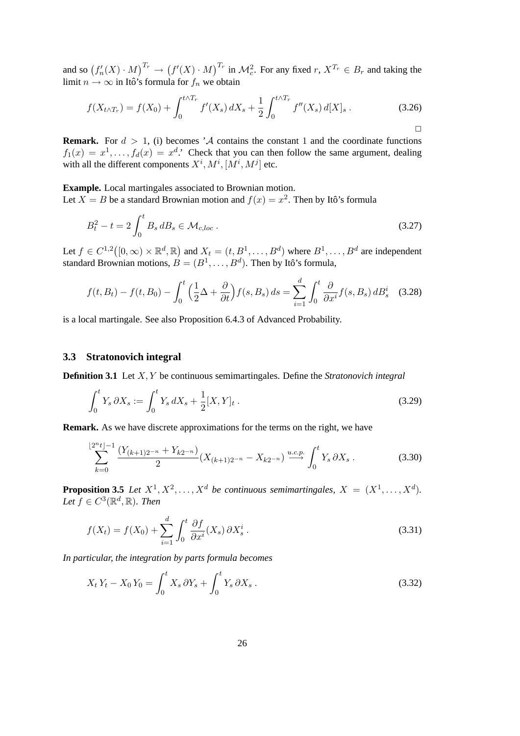and so  $(f'_n(X) \cdot M)^{T_r} \to (f'(X) \cdot M)^{T_r}$  in  $\mathcal{M}_c^2$ . For any fixed  $r, X^{T_r} \in B_r$  and taking the limit  $n \to \infty$  in Itô's formula for  $f_n$  we obtain

$$
f(X_{t \wedge T_r}) = f(X_0) + \int_0^{t \wedge T_r} f'(X_s) dX_s + \frac{1}{2} \int_0^{t \wedge T_r} f''(X_s) d[X]_s.
$$
 (3.26)

**Remark.** For  $d > 1$ , (i) becomes 'A contains the constant 1 and the coordinate functions  $f_1(x) = x^1, \ldots, f_d(x) = x^d$ .' Check that you can then follow the same argument, dealing with all the different components  $X^i$ ,  $M^i$ ,  $[M^i, M^j]$  etc.

**Example.** Local martingales associated to Brownian motion. Let  $X = B$  be a standard Brownian motion and  $f(x) = x^2$ . Then by Itô's formula

$$
B_t^2 - t = 2 \int_0^t B_s \, dB_s \in \mathcal{M}_{c,loc} \,. \tag{3.27}
$$

Let  $f \in C^{1,2}([0,\infty) \times \mathbb{R}^d, \mathbb{R})$  and  $X_t = (t, B^1, \dots, B^d)$  where  $B^1, \dots, B^d$  are independent standard Brownian motions,  $B = (B^1, \ldots, B^d)$ . Then by Itô's formula,

$$
f(t, B_t) - f(t, B_0) - \int_0^t \left(\frac{1}{2}\Delta + \frac{\partial}{\partial t}\right) f(s, B_s) ds = \sum_{i=1}^d \int_0^t \frac{\partial}{\partial x^i} f(s, B_s) dB_s^i \quad (3.28)
$$

is a local martingale. See also Proposition 6.4.3 of Advanced Probability.

#### <span id="page-25-0"></span>**3.3 Stratonovich integral**

**Definition 3.1** Let X, Y be continuous semimartingales. Define the *Stratonovich integral*

$$
\int_0^t Y_s \, \partial X_s := \int_0^t Y_s \, dX_s + \frac{1}{2} [X, Y]_t \,. \tag{3.29}
$$

**Remark.** As we have discrete approximations for the terms on the right, we have

$$
\sum_{k=0}^{\lfloor 2^n t \rfloor - 1} \frac{(Y_{(k+1)2^{-n}} + Y_{k2^{-n}})}{2} (X_{(k+1)2^{-n}} - X_{k2^{-n}}) \stackrel{u.c.p.}{\longrightarrow} \int_0^t Y_s \, \partial X_s \,. \tag{3.30}
$$

**Proposition 3.5** Let  $X^1, X^2, \ldots, X^d$  be continuous semimartingales,  $X = (X^1, \ldots, X^d)$ . Let  $f \in C^3(\mathbb{R}^d, \mathbb{R})$ *. Then* 

$$
f(X_t) = f(X_0) + \sum_{i=1}^{d} \int_0^t \frac{\partial f}{\partial x^i}(X_s) \, \partial X_s^i \,. \tag{3.31}
$$

*In particular, the integration by parts formula becomes*

$$
X_t Y_t - X_0 Y_0 = \int_0^t X_s \, \partial Y_s + \int_0^t Y_s \, \partial X_s \,. \tag{3.32}
$$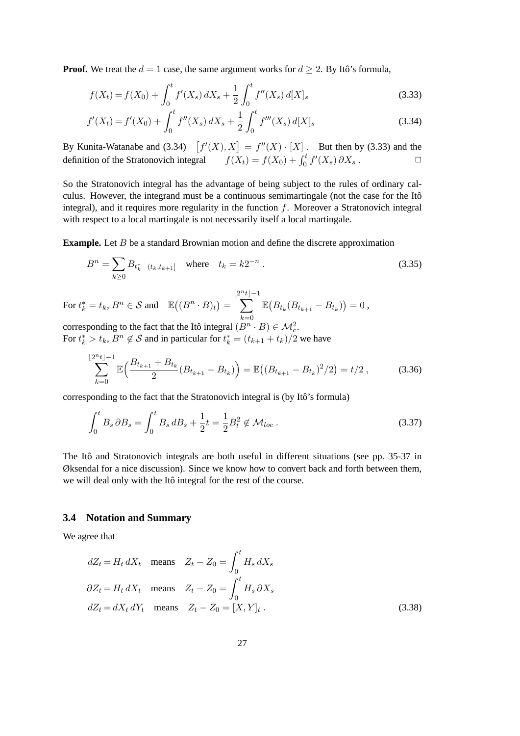**Proof.** We treat the  $d = 1$  case, the same argument works for  $d \geq 2$ . By Itô's formula,

$$
f(X_t) = f(X_0) + \int_0^t f'(X_s) dX_s + \frac{1}{2} \int_0^t f''(X_s) d[X]_s
$$
\n(3.33)

<span id="page-26-1"></span>
$$
f'(X_t) = f'(X_0) + \int_0^t f''(X_s) \, dX_s + \frac{1}{2} \int_0^t f'''(X_s) \, d[X]_s \tag{3.34}
$$

By Kunita-Watanabe and [\(3.34\)](#page-26-1)  $[f'(X), X] = f''(X) \cdot [X]$ . But then by [\(3.33\)](#page-26-1) and the definition of the Stratonovich integral  $\int_0^t f'(X_s) \, \partial X_s$ .  $\Box$ 

So the Stratonovich integral has the advantage of being subject to the rules of ordinary calculus. However, the integrand must be a continuous semimartingale (not the case for the Itô integral), and it requires more regularity in the function  $f$ . Moreover a Stratonovich integral with respect to a local martingale is not necessarily itself a local martingale.

**Example.** Let B be a standard Brownian motion and define the discrete approximation

$$
B^{n} = \sum_{k \geq 0} B_{t_{k}^{*}} \mathbf{1}_{(t_{k}, t_{k+1}]}
$$
 where  $t_{k} = k2^{-n}$ . (3.35)

For 
$$
t_k^* = t_k
$$
,  $B^n \in \mathcal{S}$  and  $\mathbb{E}((B^n \cdot B)_t) = \sum_{k=0}^{\lfloor 2^n t \rfloor - 1} \mathbb{E}(B_{t_k}(B_{t_{k+1}} - B_{t_k})) = 0$ ,

corresponding to the fact that the Itô integral  $(B^n \cdot B) \in \mathcal{M}_c^2$ . For  $t_k^* > t_k$ ,  $B^n \notin \mathcal{S}$  and in particular for  $t_k^* = (t_{k+1} + t_k)/2$  we have

$$
\sum_{k=0}^{\lfloor 2^{n}t \rfloor -1} \mathbb{E}\Big(\frac{B_{t_{k+1}} + B_{t_k}}{2} (B_{t_{k+1}} - B_{t_k})\Big) = \mathbb{E}\big((B_{t_{k+1}} - B_{t_k})^2/2\big) = t/2\,,\tag{3.36}
$$

corresponding to the fact that the Stratonovich integral is (by Itô's formula)

$$
\int_0^t B_s \, \partial B_s = \int_0^t B_s \, dB_s + \frac{1}{2} t = \frac{1}{2} B_t^2 \notin \mathcal{M}_{loc} \,. \tag{3.37}
$$

The Itô and Stratonovich integrals are both useful in different situations (see pp. 35-37 in Øksendal for a nice discussion). Since we know how to convert back and forth between them, we will deal only with the Itô integral for the rest of the course.

#### <span id="page-26-0"></span>**3.4 Notation and Summary**

We agree that

$$
dZ_t = H_t dX_t \quad \text{means} \quad Z_t - Z_0 = \int_0^t H_s dX_s
$$
  

$$
\partial Z_t = H_t dX_t \quad \text{means} \quad Z_t - Z_0 = \int_0^t H_s \partial X_s
$$
  

$$
dZ_t = dX_t dY_t \quad \text{means} \quad Z_t - Z_0 = [X, Y]_t .
$$
 (3.38)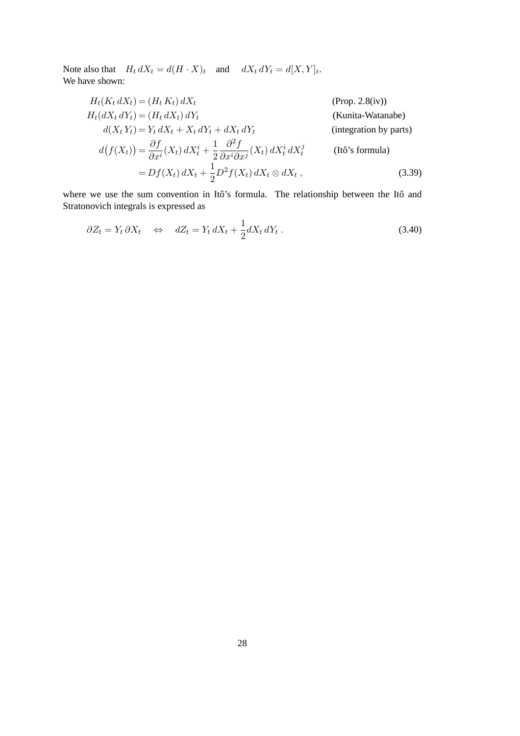Note also that  $H_t dX_t = d(H \cdot X)_t$  and  $dX_t dY_t = d[X, Y]_t$ . We have shown:

$$
H_t(K_t dX_t) = (H_t K_t) dX_t
$$
 (Prop. 2.8(iv))  
\n
$$
H_t(dX_t dY_t) = (H_t dX_t) dY_t
$$
 (Kunita-Watanabe)  
\n
$$
d(X_t Y_t) = Y_t dX_t + X_t dY_t + dX_t dY_t
$$
 (integration by parts)  
\n
$$
d(f(X_t)) = \frac{\partial f}{\partial x^i}(X_t) dX_t^i + \frac{1}{2} \frac{\partial^2 f}{\partial x^i \partial x^j}(X_t) dX_t^i dX_t^j
$$
 (Itô's formula)  
\n
$$
= Df(X_t) dX_t + \frac{1}{2} D^2 f(X_t) dX_t \otimes dX_t,
$$
 (3.39)

where we use the sum convention in Itô's formula. The relationship between the Itô and Stratonovich integrals is expressed as

$$
\partial Z_t = Y_t \, \partial X_t \quad \Leftrightarrow \quad dZ_t = Y_t \, dX_t + \frac{1}{2} dX_t \, dY_t \,. \tag{3.40}
$$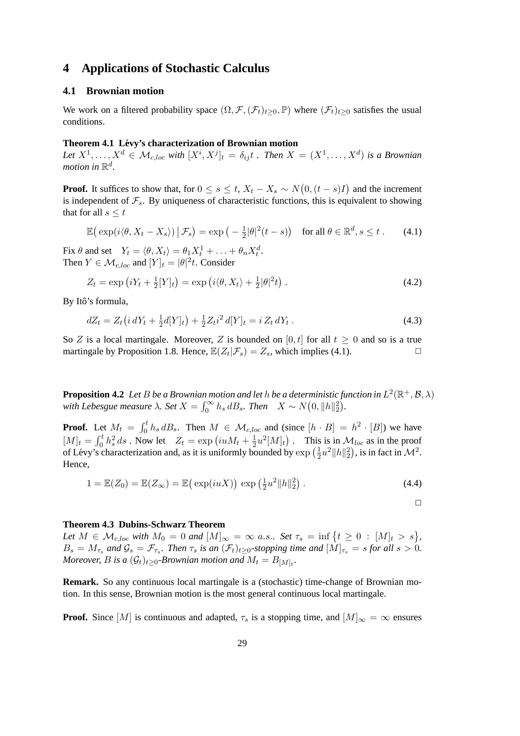### <span id="page-28-0"></span>**4 Applications of Stochastic Calculus**

#### <span id="page-28-1"></span>**4.1 Brownian motion**

We work on a filtered probability space  $(\Omega, \mathcal{F}, (\mathcal{F}_t)_{t>0}, \mathbb{P})$  where  $(\mathcal{F}_t)_{t>0}$  satisfies the usual conditions.

#### **Theorem 4.1 Levy's characterization of Brownian motion ´**

Let  $X^1, \ldots, X^d \in \mathcal{M}_{c, loc}$  with  $[X^i, X^j]_t = \delta_{ij} t$  *. Then*  $X = (X^1, \ldots, X^d)$  *is a Brownian* motion in  $\mathbb{R}^d$ .

**Proof.** It suffices to show that, for  $0 \le s \le t$ ,  $X_t - X_s \sim N(0, (t - s)I)$  and the increment is independent of  $\mathcal{F}_s$ . By uniqueness of characteristic functions, this is equivalent to showing that for all  $s \leq t$ 

<span id="page-28-2"></span>
$$
\mathbb{E}\big(\exp(i\langle\theta, X_t - X_s\rangle)\,\big|\,\mathcal{F}_s\big) = \exp\big(-\tfrac{1}{2}|\theta|^2(t-s)\big) \quad \text{for all } \theta \in \mathbb{R}^d, s \le t \,. \tag{4.1}
$$

Fix  $\theta$  and set  $Y_t = \langle \theta, X_t \rangle = \theta_1 X_t^1 + \ldots + \theta_n X_t^d$ . Then  $Y \in \mathcal{M}_{c, loc}$  and  $[Y]_t = |\theta|^2 t$ . Consider

$$
Z_t = \exp\left(iY_t + \frac{1}{2}[Y]_t\right) = \exp\left(i\langle\theta, X_t\rangle + \frac{1}{2}|\theta|^2 t\right).
$$
\n(4.2)

By Itô's formula,

$$
dZ_t = Z_t \left( i \, dY_t + \frac{1}{2} d[Y]_t \right) + \frac{1}{2} Z_t i^2 \, d[Y]_t = i \, Z_t \, dY_t \,. \tag{4.3}
$$

So Z is a local martingale. Moreover, Z is bounded on [0, t] for all  $t \ge 0$  and so is a true martingale by Proposition [1.8.](#page-7-2) Hence,  $\mathbb{E}(Z_t|\mathcal{F}_s) = Z_s$ , which implies [\(4.1\)](#page-28-2).

<span id="page-28-3"></span>**Proposition 4.2** Let B be a Brownian motion and let h be a deterministic function in  $L^2(\mathbb{R}^+, \mathcal{B}, \lambda)$ with Lebesgue measure  $\lambda$ . Set  $X = \int_0^\infty h_s \, dB_s$ . Then  $X \sim N(0, \|h\|_2^2)$ .

**Proof.** Let  $M_t = \int_0^t h_s dB_s$ . Then  $M \in \mathcal{M}_{c,loc}$  and (since  $[h \cdot B] = h^2 \cdot [B]$ ) we have  $[M]_t = \int_0^t h_s^2 ds$ . Now let  $Z_t = \exp(iuM_t + \frac{1}{2})$  $\frac{1}{2}u^2[M]_t$ . This is in  $\mathcal{M}_{loc}$  as in the proof of Lévy's characterization and, as it is uniformly bounded by  $\exp\left(\frac{1}{2}\right)$  $\frac{1}{2}u^2||h||_2^2$ , is in fact in  $\mathcal{M}^2$ . Hence,

$$
1 = \mathbb{E}(Z_0) = \mathbb{E}(Z_{\infty}) = \mathbb{E}\left(\exp(iuX)\right)\exp\left(\frac{1}{2}u^2\|h\|_2^2\right). \tag{4.4}
$$

 $\Box$ 

#### **Theorem 4.3 Dubins-Schwarz Theorem**

*Let*  $M \in \mathcal{M}_{c, loc}$  *with*  $M_0 = 0$  *and*  $[M]_{\infty} = \infty$  *a.s.. Set*  $\tau_s = \inf \{ t \geq 0 : [M]_t > s \}$ ,  $B_s = M_{\tau_s}$  and  $\mathcal{G}_s = \mathcal{F}_{\tau_s}$ . Then  $\tau_s$  is an  $(\mathcal{F}_t)_{t\geq 0}$ -stopping time and  $[M]_{\tau_s} = s$  for all  $s > 0$ . *Moreover, B* is a  $(\mathcal{G}_t)_{t\geq 0}$ -Brownian motion and  $M_t = B_{[M]_t}$ .

**Remark.** So any continuous local martingale is a (stochastic) time-change of Brownian motion. In this sense, Brownian motion is the most general continuous local martingale.

**Proof.** Since [M] is continuous and adapted,  $\tau_s$  is a stopping time, and  $[M]_{\infty} = \infty$  ensures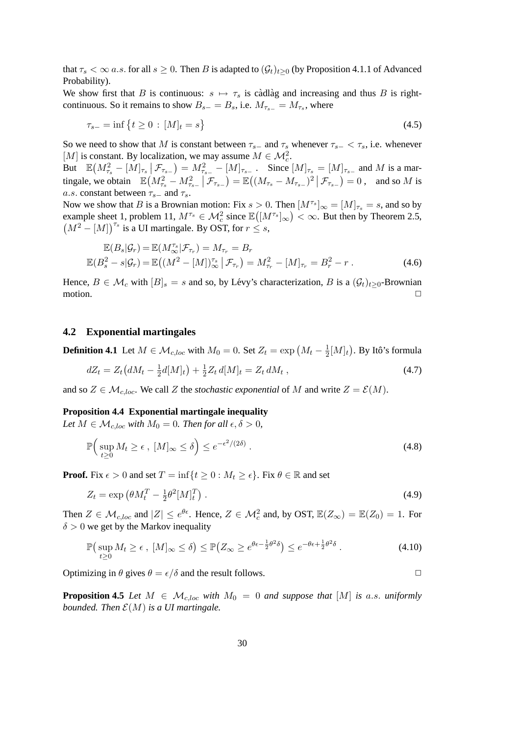that  $\tau_s < \infty$  a.s. for all  $s \geq 0$ . Then B is adapted to  $(\mathcal{G}_t)_{t>0}$  (by Proposition 4.1.1 of Advanced Probability).

We show first that B is continuous:  $s \mapsto \tau_s$  is càdlàg and increasing and thus B is rightcontinuous. So it remains to show  $B_{s-} = B_s$ , i.e.  $M_{\tau_{s-}} = M_{\tau_s}$ , where

$$
\tau_{s-} = \inf \{ t \ge 0 \, : \, [M]_t = s \} \tag{4.5}
$$

So we need to show that M is constant between  $\tau_{s-}$  and  $\tau_s$  whenever  $\tau_{s-} < \tau_s$ , i.e. whenever [M] is constant. By localization, we may assume  $M \in \mathcal{M}_c^2$ .

But  $\mathbb{E}(M_{\tau_s}^2 - [M]_{\tau_s} | \mathcal{F}_{\tau_{s-}}) = M_{\tau_{s-}}^2 - [M]_{\tau_{s-}}$ . Since  $[M]_{\tau_s} = [M]_{\tau_{s-}}$  and M is a martingale, we obtain  $\mathbb{E}\left(M_{\tau_s}^2 - M_{\tau_{s-}}^2 | \mathcal{F}_{\tau_{s-}}\right) = \mathbb{E}\left((M_{\tau_s} - M_{\tau_{s-}})^2 | \mathcal{F}_{\tau_{s-}}\right) = 0$ , and so M is a.s. constant between  $\tau_{s-}$  and  $\tau_s$ .

Now we show that B is a Brownian motion: Fix  $s > 0$ . Then  $[M^{\tau_s}]_{\infty} = [M]_{\tau_s} = s$ , and so by example sheet 1, problem 11,  $M^{\tau_s} \in \mathcal{M}_c^2$  since  $\mathbb{E}([M^{\tau_s}]_{\infty}) < \infty$ . But then by Theorem [2.5,](#page-15-1)  $(M^{2} - [M])^{\tau_{s}}$  is a UI martingale. By OST, for  $r \leq s$ ,

$$
\mathbb{E}(B_s|\mathcal{G}_r) = \mathbb{E}(M_{\infty}^{\tau_s}|\mathcal{F}_{\tau_r}) = M_{\tau_r} = B_r \n\mathbb{E}(B_s^2 - s|\mathcal{G}_r) = \mathbb{E}((M^2 - [M])_{\infty}^{\tau_s}|\mathcal{F}_{\tau_r}) = M_{\tau_r}^2 - [M]_{\tau_r} = B_r^2 - r.
$$
\n(4.6)

Hence,  $B \in \mathcal{M}_c$  with  $[B]_s = s$  and so, by Lévy's characterization, B is a  $(\mathcal{G}_t)_{t>0}$ -Brownian motion.  $\Box$ 

#### <span id="page-29-0"></span>**4.2 Exponential martingales**

**Definition 4.1** Let  $M \in \mathcal{M}_{c, loc}$  with  $M_0 = 0$ . Set  $Z_t = \exp(M_t - \frac{1}{2})$  $\frac{1}{2}[M]_t$ ). By Itô's formula

$$
dZ_t = Z_t \left( dM_t - \frac{1}{2}d[M]_t \right) + \frac{1}{2} Z_t d[M]_t = Z_t dM_t , \qquad (4.7)
$$

and so  $Z \in \mathcal{M}_{c, loc}$ . We call Z the *stochastic exponential* of M and write  $Z = \mathcal{E}(M)$ .

#### **Proposition 4.4 Exponential martingale inequality**

*Let*  $M \in \mathcal{M}_{c, loc}$  *with*  $M_0 = 0$ *. Then for all*  $\epsilon, \delta > 0$ *,* 

$$
\mathbb{P}\Big(\sup_{t\geq 0} M_t \geq \epsilon \,,\, [M]_{\infty} \leq \delta\Big) \leq e^{-\epsilon^2/(2\delta)} \,. \tag{4.8}
$$

**Proof.** Fix  $\epsilon > 0$  and set  $T = \inf\{t \geq 0 : M_t \geq \epsilon\}$ . Fix  $\theta \in \mathbb{R}$  and set

$$
Z_t = \exp\left(\theta M_t^T - \frac{1}{2}\theta^2 [M]_t^T\right). \tag{4.9}
$$

Then  $Z \in \mathcal{M}_{c, loc}$  and  $|Z| \le e^{\theta \epsilon}$ . Hence,  $Z \in \mathcal{M}_c^2$  and, by OST,  $\mathbb{E}(Z_{\infty}) = \mathbb{E}(Z_0) = 1$ . For  $\delta > 0$  we get by the Markov inequality

$$
\mathbb{P}\left(\sup_{t\geq 0} M_t \geq \epsilon \; , \; [M]_{\infty} \leq \delta\right) \leq \mathbb{P}\left(Z_{\infty} \geq e^{\theta \epsilon - \frac{1}{2}\theta^2 \delta}\right) \leq e^{-\theta \epsilon + \frac{1}{2}\theta^2 \delta} \; . \tag{4.10}
$$

Optimizing in  $\theta$  gives  $\theta = \epsilon/\delta$  and the result follows.

<span id="page-29-1"></span>**Proposition 4.5** Let  $M \in \mathcal{M}_{c,loc}$  with  $M_0 = 0$  and suppose that  $[M]$  is a.s. uniformly *bounded. Then*  $\mathcal{E}(M)$  *is a UI martingale.*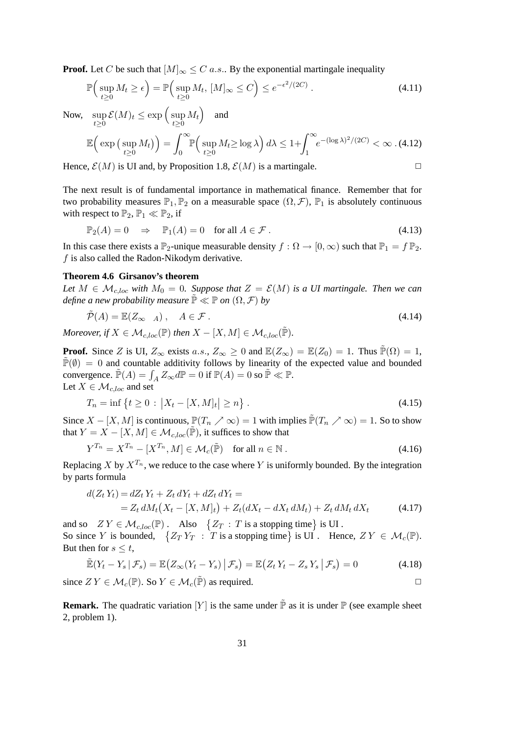**Proof.** Let C be such that  $[M]_{\infty} \leq C$  a.s.. By the exponential martingale inequality

$$
\mathbb{P}\Big(\sup_{t\geq 0} M_t \geq \epsilon\Big) = \mathbb{P}\Big(\sup_{t\geq 0} M_t, [M]_{\infty} \leq C\Big) \leq e^{-\epsilon^2/(2C)}\,. \tag{4.11}
$$

Now, sup  $\sup_{t\geq 0}\mathcal{E}(M)_t\leq \exp\Big(\sup_{t\geq 0}$  $\sup_{t\geq 0} M_t$  and

$$
\mathbb{E}\Big(\exp\big(\sup_{t\geq 0} M_t\big)\Big) = \int_0^\infty \mathbb{P}\Big(\sup_{t\geq 0} M_t \geq \log \lambda\Big) d\lambda \leq 1 + \int_1^\infty e^{-(\log \lambda)^2/(2C)} < \infty. \tag{4.12}
$$

Hence,  $\mathcal{E}(M)$  is UI and, by Proposition [1.8,](#page-7-2)  $\mathcal{E}(M)$  is a martingale.

The next result is of fundamental importance in mathematical finance. Remember that for two probability measures  $\mathbb{P}_1, \mathbb{P}_2$  on a measurable space  $(\Omega, \mathcal{F}), \mathbb{P}_1$  is absolutely continuous with respect to  $\mathbb{P}_2$ ,  $\mathbb{P}_1 \ll \mathbb{P}_2$ , if

$$
\mathbb{P}_2(A) = 0 \quad \Rightarrow \quad \mathbb{P}_1(A) = 0 \quad \text{for all } A \in \mathcal{F} \,.
$$

In this case there exists a  $\mathbb{P}_2$ -unique measurable density  $f : \Omega \to [0, \infty)$  such that  $\mathbb{P}_1 = f \mathbb{P}_2$ . f is also called the Radon-Nikodym derivative.

#### <span id="page-30-0"></span>**Theorem 4.6 Girsanov's theorem**

*Let*  $M \in \mathcal{M}_{c,loc}$  *with*  $M_0 = 0$ *. Suppose that*  $Z = \mathcal{E}(M)$  *is a UI martingale. Then we can define a new probability measure*  $\mathbb{P} \ll \mathbb{P}$  *on*  $(\Omega, \mathcal{F})$  *by* 

$$
\tilde{\mathcal{P}}(A) = \mathbb{E}(Z_{\infty} \mathbf{1}_A), \quad A \in \mathcal{F}. \tag{4.14}
$$

*Moreover, if*  $X \in \mathcal{M}_{c, loc}(\mathbb{P})$  *then*  $X - [X, M] \in \mathcal{M}_{c, loc}(\mathbb{P})$ *.* 

**Proof.** Since Z is UI,  $Z_{\infty}$  exists a.s.,  $Z_{\infty} \ge 0$  and  $\mathbb{E}(Z_{\infty}) = \mathbb{E}(Z_0) = 1$ . Thus  $\mathbb{P}(\Omega) = 1$ ,  $\mathbb{P}(\emptyset) = 0$  and countable additivity follows by linearity of the expected value and bounded convergence.  $\tilde{\mathbb{P}}(A) = \int_A Z_\infty d\mathbb{P} = 0$  if  $\mathbb{P}(A) = 0$  so  $\tilde{\mathbb{P}} \ll \mathbb{P}$ . Let  $X \in \mathcal{M}_{c, loc}$  and set

$$
T_n = \inf \left\{ t \ge 0 \, : \, \left| X_t - [X, M]_t \right| \ge n \right\} \,. \tag{4.15}
$$

Since  $X - [X, M]$  is continuous,  $\mathbb{P}(T_n \nearrow \infty) = 1$  with implies  $\mathbb{P}(T_n \nearrow \infty) = 1$ . So to show that  $Y = X - [X, M] \in \mathcal{M}_{c, loc}(\tilde{\mathbb{P}})$ , it suffices to show that

$$
Y^{T_n} = X^{T_n} - [X^{T_n}, M] \in \mathcal{M}_c(\tilde{\mathbb{P}}) \quad \text{for all } n \in \mathbb{N} \,.
$$

Replacing X by  $X^{T_n}$ , we reduce to the case where Y is uniformly bounded. By the integration by parts formula

$$
d(Z_t Y_t) = dZ_t Y_t + Z_t dY_t + dZ_t dY_t =
$$
  
=  $Z_t dM_t (X_t - [X, M]_t) + Z_t (dX_t - dX_t dM_t) + Z_t dM_t dX_t$  (4.17)

and so  $Z Y \in \mathcal{M}_{c, loc}(\mathbb{P})$ . Also  $\{Z_T : T \text{ is a stopping time}\}\$ is UI. So since Y is bounded,  $\{Z_T Y_T : T \text{ is a stopping time}\}$  is UI. Hence,  $Z Y \in \mathcal{M}_c(\mathbb{P})$ . But then for  $s \leq t$ ,

$$
\widetilde{\mathbb{E}}(Y_t - Y_s | \mathcal{F}_s) = \mathbb{E}\big(Z_\infty(Y_t - Y_s) | \mathcal{F}_s\big) = \mathbb{E}\big(Z_t Y_t - Z_s Y_s | \mathcal{F}_s\big) = 0\tag{4.18}
$$

since  $ZY \in \mathcal{M}_c(\mathbb{P})$ . So  $Y \in \mathcal{M}_c(\tilde{\mathbb{P}})$  as required.

<span id="page-30-1"></span>**Remark.** The quadratic variation  $[Y]$  is the same under  $\tilde{P}$  as it is under  $P$  (see example sheet 2, problem 1).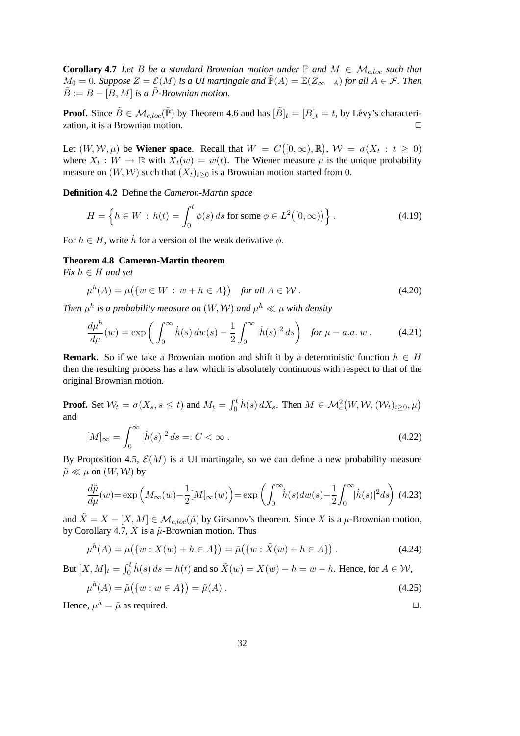**Corollary 4.7** *Let* B *be a standard Brownian motion under*  $\mathbb{P}$  *and*  $M \in \mathcal{M}_{c, loc}$  *such that*  $M_0 = 0$ *. Suppose*  $Z = \mathcal{E}(M)$  *is a UI martingale and*  $\tilde{P}(A) = \mathbb{E}(Z_\infty \mathbf{1}_A)$  *for all*  $A \in \mathcal{F}$ *. Then*  $\tilde{B} := B - [B, M]$  *is a*  $\tilde{P}$ -Brownian motion.

**Proof.** Since  $\tilde{B} \in \mathcal{M}_{c,loc}(\tilde{\mathbb{P}})$  by Theorem [4.6](#page-30-0) and has  $|\tilde{B}|_t = |B|_t = t$ , by Lévy's characterization, it is a Brownian motion.

Let  $(W, W, \mu)$  be **Wiener space**. Recall that  $W = C([0, \infty), \mathbb{R})$ ,  $W = \sigma(X_t : t \ge 0)$ where  $X_t: W \to \mathbb{R}$  with  $X_t(w) = w(t)$ . The Wiener measure  $\mu$  is the unique probability measure on  $(W, W)$  such that  $(X_t)_{t>0}$  is a Brownian motion started from 0.

**Definition 4.2** Define the *Cameron-Martin space*

$$
H = \left\{ h \in W : h(t) = \int_0^t \phi(s) \, ds \text{ for some } \phi \in L^2([0, \infty)) \right\}.
$$
 (4.19)

For  $h \in H$ , write  $\dot{h}$  for a version of the weak derivative  $\phi$ .

#### **Theorem 4.8 Cameron-Martin theorem**

*Fix* h ∈ H *and set*

$$
\mu^{h}(A) = \mu(\{w \in W : w + h \in A\}) \quad \text{for all } A \in \mathcal{W} \,.
$$

*Then*  $\mu^h$  is a probability measure on  $(W, W)$  and  $\mu^h \ll \mu$  with density

$$
\frac{d\mu^h}{d\mu}(w) = \exp\left(\int_0^\infty \dot{h}(s) \, dw(s) - \frac{1}{2} \int_0^\infty |\dot{h}(s)|^2 \, ds\right) \quad \text{for } \mu - a.a. \, w \,. \tag{4.21}
$$

**Remark.** So if we take a Brownian motion and shift it by a deterministic function  $h \in H$ then the resulting process has a law which is absolutely continuous with respect to that of the original Brownian motion.

**Proof.** Set  $\mathcal{W}_t = \sigma(X_s, s \leq t)$  and  $M_t = \int_0^t \dot{h}(s) dX_s$ . Then  $M \in \mathcal{M}_c^2(W, \mathcal{W}, (\mathcal{W}_t)_{t \geq 0}, \mu)$ and

$$
[M]_{\infty} = \int_0^{\infty} |\dot{h}(s)|^2 ds =: C < \infty.
$$
 (4.22)

By Proposition [4.5,](#page-29-1)  $\mathcal{E}(M)$  is a UI martingale, so we can define a new probability measure  $\tilde{\mu} \ll \mu$  on  $(W, W)$  by

$$
\frac{d\tilde{\mu}}{d\mu}(w) = \exp\left(M_{\infty}(w) - \frac{1}{2}[M]_{\infty}(w)\right) = \exp\left(\int_0^{\infty} \dot{h}(s)dw(s) - \frac{1}{2}\int_0^{\infty} |\dot{h}(s)|^2 ds\right)
$$
(4.23)

and  $\tilde{X} = X - [X, M] \in \mathcal{M}_{c, loc}(\tilde{\mu})$  by Girsanov's theorem. Since X is a  $\mu$ -Brownian motion, by Corollary [4.7,](#page-30-1)  $\tilde{X}$  is a  $\tilde{\mu}$ -Brownian motion. Thus

$$
\mu^{h}(A) = \mu(\{w : X(w) + h \in A\}) = \tilde{\mu}(\{w : \tilde{X}(w) + h \in A\})
$$
 (4.24)

But  $[X, M]_t = \int_0^t \dot{h}(s) ds = h(t)$  and so  $\tilde{X}(w) = X(w) - h = w - h$ . Hence, for  $A \in \mathcal{W}$ ,

$$
\mu^{h}(A) = \tilde{\mu}(\{w : w \in A\}) = \tilde{\mu}(A) .
$$
\n(4.25)

Hence,  $\mu^h = \tilde{\mu}$  as required.  $\Box$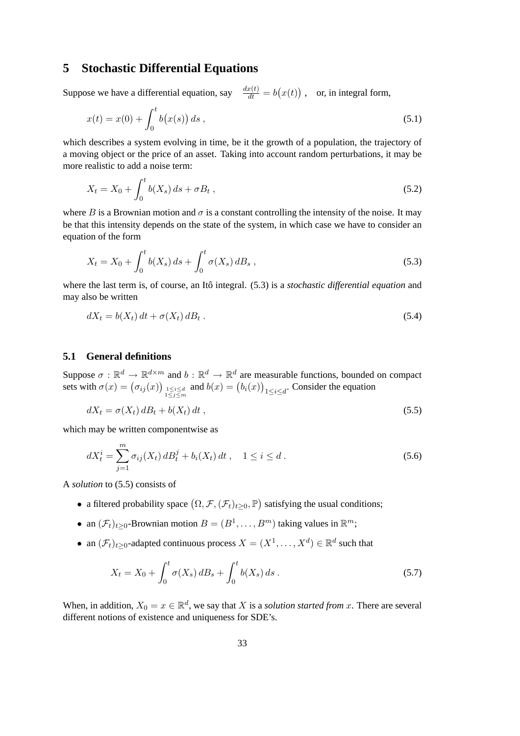### <span id="page-32-0"></span>**5 Stochastic Differential Equations**

Suppose we have a differential equation, say  $\frac{dx(t)}{dt} = b(x(t))$ , or, in integral form,

$$
x(t) = x(0) + \int_0^t b(x(s)) ds,
$$
\n(5.1)

which describes a system evolving in time, be it the growth of a population, the trajectory of a moving object or the price of an asset. Taking into account random perturbations, it may be more realistic to add a noise term:

$$
X_t = X_0 + \int_0^t b(X_s) \, ds + \sigma B_t \,, \tag{5.2}
$$

where B is a Brownian motion and  $\sigma$  is a constant controlling the intensity of the noise. It may be that this intensity depends on the state of the system, in which case we have to consider an equation of the form

<span id="page-32-2"></span>
$$
X_t = X_0 + \int_0^t b(X_s) \, ds + \int_0^t \sigma(X_s) \, dB_s \,, \tag{5.3}
$$

where the last term is, of course, an Itô integral. ([5.3\)](#page-32-2) is a *stochastic differential equation* and may also be written

$$
dX_t = b(X_t) dt + \sigma(X_t) dB_t.
$$
\n
$$
(5.4)
$$

#### <span id="page-32-1"></span>**5.1 General definitions**

Suppose  $\sigma : \mathbb{R}^d \to \mathbb{R}^{d \times m}$  and  $b : \mathbb{R}^d \to \mathbb{R}^d$  are measurable functions, bounded on compact sets with  $\sigma(x) = (\sigma_{ij}(x))_{1 \le i \le d \atop 1 \le j \le m}$  and  $b(x) = (b_i(x))_{1 \le i \le d}$ . Consider the equation

<span id="page-32-3"></span>
$$
dX_t = \sigma(X_t) dB_t + b(X_t) dt , \qquad (5.5)
$$

which may be written componentwise as

$$
dX_t^i = \sum_{j=1}^m \sigma_{ij}(X_t) dB_t^j + b_i(X_t) dt, \quad 1 \le i \le d.
$$
 (5.6)

A *solution* to [\(5.5\)](#page-32-3) consists of

- a filtered probability space  $(\Omega, \mathcal{F}, (\mathcal{F}_t)_{t\geq 0}, \mathbb{P})$  satisfying the usual conditions;
- an  $(\mathcal{F}_t)_{t\geq 0}$ -Brownian motion  $B=(B^1,\ldots,B^m)$  taking values in  $\mathbb{R}^m$ ;
- an  $(\mathcal{F}_t)_{t\geq 0}$ -adapted continuous process  $X = (X^1, \dots, X^d) \in \mathbb{R}^d$  such that

$$
X_t = X_0 + \int_0^t \sigma(X_s) \, dB_s + \int_0^t b(X_s) \, ds \,. \tag{5.7}
$$

When, in addition,  $X_0 = x \in \mathbb{R}^d$ , we say that X is a *solution started from* x. There are several different notions of existence and uniqueness for SDE's.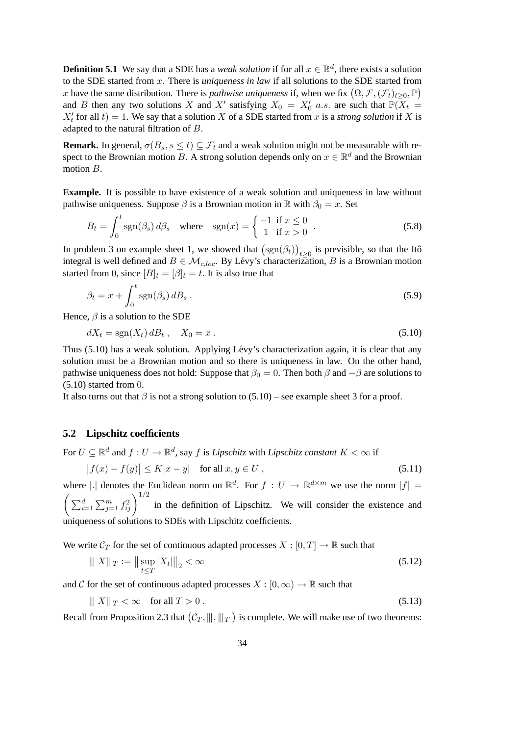**Definition 5.1** We say that a SDE has a *weak solution* if for all  $x \in \mathbb{R}^d$ , there exists a solution to the SDE started from x. There is *uniqueness in law* if all solutions to the SDE started from x have the same distribution. There is *pathwise uniqueness* if, when we fix  $(\Omega, \mathcal{F}, (\mathcal{F}_t)_{t \geq 0}, \mathbb{P})$ and B then any two solutions X and X' satisfying  $X_0 = X'_0$  a.s. are such that  $\mathbb{P}(X_t =$  $X'_t$  for all  $t$ ) = 1. We say that a solution X of a SDE started from x is a *strong solution* if X is adapted to the natural filtration of B.

**Remark.** In general,  $\sigma(B_s, s \le t) \subseteq \mathcal{F}_t$  and a weak solution might not be measurable with respect to the Brownian motion B. A strong solution depends only on  $x \in \mathbb{R}^d$  and the Brownian motion B.

**Example.** It is possible to have existence of a weak solution and uniqueness in law without pathwise uniqueness. Suppose  $\beta$  is a Brownian motion in R with  $\beta_0 = x$ . Set

$$
B_t = \int_0^t \text{sgn}(\beta_s) \, d\beta_s \quad \text{where} \quad \text{sgn}(x) = \begin{cases} -1 & \text{if } x \le 0 \\ 1 & \text{if } x > 0 \end{cases} \tag{5.8}
$$

In problem 3 on example sheet 1, we showed that  $(\text{sgn}(\beta_t))_{t\geq 0}$  is previsible, so that the Itô integral is well defined and  $B \in \mathcal{M}_{c, loc}$ . By Lévy's characterization, B is a Brownian motion started from 0, since  $[B]_t = [\beta]_t = t$ . It is also true that

$$
\beta_t = x + \int_0^t \text{sgn}(\beta_s) \, dB_s \,. \tag{5.9}
$$

Hence,  $\beta$  is a solution to the SDE

<span id="page-33-1"></span>
$$
dX_t = \operatorname{sgn}(X_t) dB_t, \quad X_0 = x. \tag{5.10}
$$

Thus [\(5.10\)](#page-33-1) has a weak solution. Applying Lévy's characterization again, it is clear that any solution must be a Brownian motion and so there is uniqueness in law. On the other hand, pathwise uniqueness does not hold: Suppose that  $\beta_0 = 0$ . Then both  $\beta$  and  $-\beta$  are solutions to  $(5.10)$  started from 0.

It also turns out that  $\beta$  is not a strong solution to [\(5.10\)](#page-33-1) – see example sheet 3 for a proof.

#### <span id="page-33-0"></span>**5.2 Lipschitz coefficients**

For  $U \subseteq \mathbb{R}^d$  and  $f: U \to \mathbb{R}^d$ , say  $f$  is *Lipschitz* with *Lipschitz constant*  $K < \infty$  if

$$
\left|f(x) - f(y)\right| \le K|x - y| \quad \text{for all } x, y \in U ,\tag{5.11}
$$

where |. | denotes the Euclidean norm on  $\mathbb{R}^d$ . For  $f: U \to \mathbb{R}^{d \times m}$  we use the norm  $|f| =$  $\left(\sum_{i=1}^d \sum_{j=1}^m f_{ij}^2\right)^{1/2}$  in the definition of Lipschitz. We will consider the existence and uniqueness of solutions to SDEs with Lipschitz coefficients.

We write  $C_T$  for the set of continuous adapted processes  $X : [0, T] \to \mathbb{R}$  such that

$$
\|X\|_T := \|\sup_{t \le T} |X_t|\|_2 < \infty \tag{5.12}
$$

and C for the set of continuous adapted processes  $X : [0, \infty) \to \mathbb{R}$  such that

$$
|||X||_T < \infty \quad \text{for all } T > 0.
$$
\n
$$
(5.13)
$$

Recall from Proposition [2.3](#page-11-3) that  $(C_T, \|\|\cdot\|_T)$  is complete. We will make use of two theorems: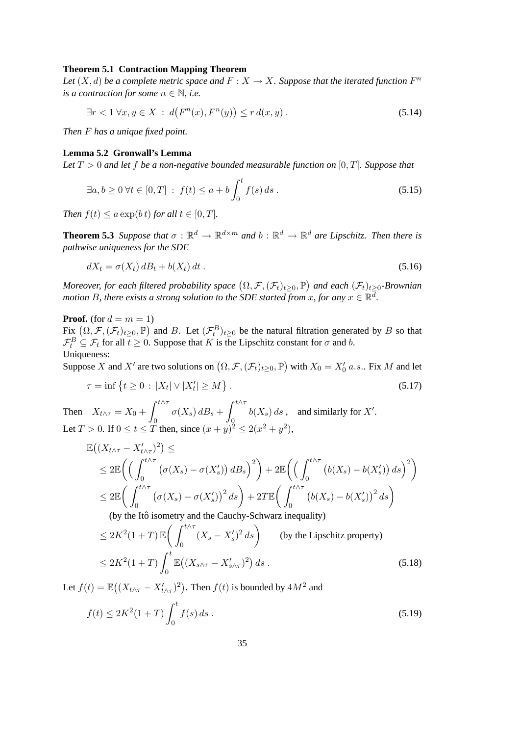#### **Theorem 5.1 Contraction Mapping Theorem**

Let  $(X, d)$  be a complete metric space and  $F: X \to X$ . Suppose that the iterated function  $F^n$ *is a contraction for some*  $n \in \mathbb{N}$ , *i.e.* 

$$
\exists r < 1 \,\forall x, y \in X \,:\, d\big(F^n(x), F^n(y)\big) \le r\,d(x, y) \,. \tag{5.14}
$$

*Then* F *has a unique fixed point.*

#### **Lemma 5.2 Gronwall's Lemma**

*Let* T > 0 *and let* f *be a non-negative bounded measurable function on* [0, T]*. Suppose that*

$$
\exists a, b \ge 0 \,\forall t \in [0, T] : f(t) \le a + b \int_0^t f(s) \, ds \,. \tag{5.15}
$$

*Then*  $f(t) \leq a \exp(bt)$  *for all*  $t \in [0, T]$ *.* 

<span id="page-34-0"></span>**Theorem 5.3** *Suppose that*  $\sigma : \mathbb{R}^d \to \mathbb{R}^{d \times m}$  and  $b : \mathbb{R}^d \to \mathbb{R}^d$  are Lipschitz. Then there is *pathwise uniqueness for the SDE*

$$
dX_t = \sigma(X_t) dB_t + b(X_t) dt.
$$
\n
$$
(5.16)
$$

*Moreover, for each filtered probability space*  $(\Omega, \mathcal{F}, (\mathcal{F}_t)_{t\geq 0}, \mathbb{P})$  and each  $(\mathcal{F}_t)_{t\geq 0}$ -Brownian *motion B, there exists a strong solution to the SDE started from x, for any*  $x \in \mathbb{R}^{\overline{d}}$ .

**Proof.** (for  $d = m = 1$ )

Fix  $(\Omega, \mathcal{F}, (\mathcal{F}_t)_{t\geq 0}, \mathbb{P})$  and B. Let  $(\mathcal{F}_t^B)_{t\geq 0}$  be the natural filtration generated by B so that  $\mathcal{F}_t^B \subseteq \mathcal{F}_t$  for all  $t \geq 0$ . Suppose that K is the Lipschitz constant for  $\sigma$  and b. Uniqueness:

Suppose X and X' are two solutions on  $(\Omega, \mathcal{F}, (\mathcal{F}_t)_{t\geq 0}, \mathbb{P})$  with  $X_0 = X'_0$  a.s.. Fix M and let

$$
\tau = \inf \{ t \ge 0 \, : \, |X_t| \vee |X'_t| \ge M \} \, . \tag{5.17}
$$

Then  $X_{t \wedge \tau} = X_0 + \int^{t \wedge \tau}$ 0  $\sigma(X_s) dB_s + \int^{t\wedge\tau}$  $\overline{0}$  $b(X_s) ds$ , and similarly for X'. Let  $T > 0$ . If  $0 \le t \le T$  then, since  $(x+y)^2 \le 2(x^2+y^2)$ ,

$$
\mathbb{E}\left(\left(X_{t\wedge\tau} - X'_{t\wedge\tau}\right)^2\right) \le
$$
\n
$$
\leq 2\mathbb{E}\left(\left(\int_0^{t\wedge\tau} \left(\sigma(X_s) - \sigma(X'_s)\right) dB_s\right)^2\right) + 2\mathbb{E}\left(\left(\int_0^{t\wedge\tau} \left(b(X_s) - b(X'_s)\right) ds\right)^2\right)
$$
\n
$$
\leq 2\mathbb{E}\left(\int_0^{t\wedge\tau} \left(\sigma(X_s) - \sigma(X'_s)\right)^2 ds\right) + 2T\mathbb{E}\left(\int_0^{t\wedge\tau} \left(b(X_s) - b(X'_s)\right)^2 ds\right)
$$
\n(by the Itô isometry and the Cauchy-Schwarz inequality)

(by the Itô isometry and the Cauchy-Schwarz inequality)

$$
\leq 2K^2(1+T)\mathbb{E}\bigg(\int_0^{t\wedge\tau} (X_s - X'_s)^2 ds\bigg) \qquad \text{(by the Lipschitz property)}
$$
  

$$
\leq 2K^2(1+T)\int_0^t \mathbb{E}\big((X_{s\wedge\tau} - X'_{s\wedge\tau})^2\big) ds . \qquad (5.18)
$$

Let  $f(t) = \mathbb{E}((X_{t \wedge \tau} - X'_{t \wedge \tau})^2)$ . Then  $f(t)$  is bounded by  $4M^2$  and

$$
f(t) \le 2K^2(1+T) \int_0^t f(s) \, ds \,. \tag{5.19}
$$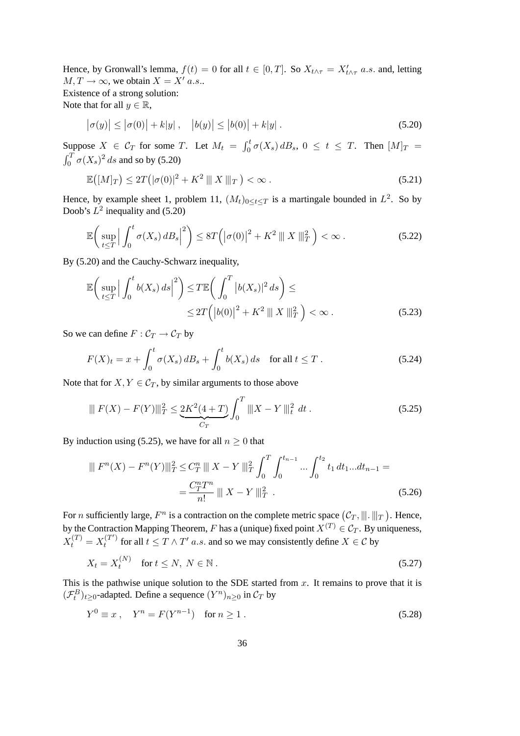Hence, by Gronwall's lemma,  $f(t) = 0$  for all  $t \in [0, T]$ . So  $X_{t \wedge \tau} = X'_{t \wedge \tau}$  a.s. and, letting  $M, T \rightarrow \infty$ , we obtain  $X = X'$  a.s.. Existence of a strong solution:

Note that for all  $y \in \mathbb{R}$ ,

<span id="page-35-0"></span>
$$
|\sigma(y)| \le |\sigma(0)| + k|y|, \quad |b(y)| \le |b(0)| + k|y|.
$$
 (5.20)

Suppose  $X \in C_T$  for some T. Let  $M_t = \int_0^t \sigma(X_s) dB_s$ ,  $0 \le t \le T$ . Then  $[M]_T =$  $\int_0^T \sigma(X_s)^2 ds$  and so by [\(5.20\)](#page-35-0)

$$
\mathbb{E}\big(\left[M\right]_T\big) \le 2T\big(|\sigma(0)|^2 + K^2 \parallel\!\parallel X \parallel\!\parallel_T\big) < \infty \,. \tag{5.21}
$$

Hence, by example sheet 1, problem 11,  $(M_t)_{0 \leq t \leq T}$  is a martingale bounded in  $L^2$ . So by Doob's  $L^2$  inequality and [\(5.20\)](#page-35-0)

$$
\mathbb{E}\bigg(\sup_{t\leq T}\Big|\int_0^t \sigma(X_s) dB_s\Big|^2\bigg) \leq 8T\bigg(\big|\sigma(0)\big|^2 + K^2 \parallel X\parallel_T^2\bigg) < \infty\,.
$$
 (5.22)

By [\(5.20\)](#page-35-0) and the Cauchy-Schwarz inequality,

$$
\mathbb{E}\left(\sup_{t\leq T} \left|\int_0^t b(X_s) \, ds\right|^2\right) \leq T \mathbb{E}\left(\int_0^T |b(X_s)|^2 \, ds\right) \leq
$$
\n
$$
\leq 2T\left(\left|b(0)\right|^2 + K^2 \parallel X \parallel_T^2\right) < \infty\,. \tag{5.23}
$$

So we can define  $F: \mathcal{C}_T \to \mathcal{C}_T$  by

$$
F(X)_t = x + \int_0^t \sigma(X_s) \, dB_s + \int_0^t b(X_s) \, ds \quad \text{for all } t \le T \,. \tag{5.24}
$$

Note that for  $X, Y \in \mathcal{C}_T$ , by similar arguments to those above

<span id="page-35-1"></span>
$$
\|F(X) - F(Y)\|_{T}^{2} \le \underbrace{2K^{2}(4+T)}_{C_{T}} \int_{0}^{T} \|X - Y\|_{t}^{2} dt.
$$
\n(5.25)

By induction using [\(5.25\)](#page-35-1), we have for all  $n \geq 0$  that

<span id="page-35-2"></span>
$$
\|F^{n}(X) - F^{n}(Y)\|_{T}^{2} \leq C_{T}^{n} \|X - Y\|_{T}^{2} \int_{0}^{T} \int_{0}^{t_{n-1}} \dots \int_{0}^{t_{2}} t_{1} dt_{1} ... dt_{n-1} =
$$

$$
= \frac{C_{T}^{n} T^{n}}{n!} \|X - Y\|_{T}^{2} .
$$
(5.26)

For *n* sufficiently large,  $F^n$  is a contraction on the complete metric space  $(C_T, ||.|| ||_T)$ . Hence, by the Contraction Mapping Theorem, F has a (unique) fixed point  $X^{(T)} \in C_T$ . By uniqueness,  $X_t^{(T)} = X_t^{(T')}$  $t_t^{(T)}$  for all  $t \le T \wedge T'$  a.s. and so we may consistently define  $X \in \mathcal{C}$  by

$$
X_t = X_t^{(N)} \quad \text{for } t \le N, \ N \in \mathbb{N} \,. \tag{5.27}
$$

This is the pathwise unique solution to the SDE started from  $x$ . It remains to prove that it is  $(\mathcal{F}_t^B)_{t\geq 0}$ -adapted. Define a sequence  $(Y^n)_{n\geq 0}$  in  $\mathcal{C}_T$  by

$$
Y^{0} \equiv x , \quad Y^{n} = F(Y^{n-1}) \quad \text{for } n \ge 1 .
$$
 (5.28)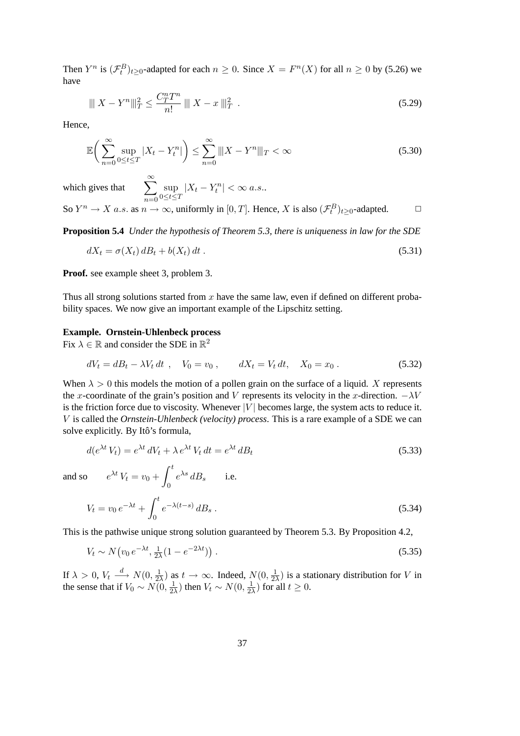Then  $Y^n$  is  $(\mathcal{F}_t^B)_{t\geq 0}$ -adapted for each  $n \geq 0$ . Since  $X = F^n(X)$  for all  $n \geq 0$  by [\(5.26\)](#page-35-2) we have

$$
\|X - Y^n\|_T^2 \le \frac{C_T^n T^n}{n!} \|X - x\|_T^2.
$$
\n(5.29)

Hence,

$$
\mathbb{E}\bigg(\sum_{n=0}^{\infty} \sup_{0 \le t \le T} |X_t - Y_t^n|\bigg) \le \sum_{n=0}^{\infty} \|X - Y^n\|_{T} < \infty \tag{5.30}
$$

which gives that  $\sum_{n=1}^{\infty}$  $n=0$ sup  $\sup_{0 \leq t \leq T} |X_t - Y_t^n| < \infty$  a.s..

So  $Y^n \to X$  a.s. as  $n \to \infty$ , uniformly in [0, T]. Hence, X is also  $(\mathcal{F}_t^B)_{t \geq 0}$ -adapted.  $\Box$ 

**Proposition 5.4** *Under the hypothesis of Theorem [5.3,](#page-34-0) there is uniqueness in law for the SDE*

$$
dX_t = \sigma(X_t) dB_t + b(X_t) dt.
$$
\n(5.31)

**Proof.** see example sheet 3, problem 3.

Thus all strong solutions started from  $x$  have the same law, even if defined on different probability spaces. We now give an important example of the Lipschitz setting.

#### **Example. Ornstein-Uhlenbeck process**

Fix  $\lambda \in \mathbb{R}$  and consider the SDE in  $\mathbb{R}^2$ 

$$
dV_t = dB_t - \lambda V_t dt , \quad V_0 = v_0 , \qquad dX_t = V_t dt, \quad X_0 = x_0 . \tag{5.32}
$$

When  $\lambda > 0$  this models the motion of a pollen grain on the surface of a liquid. X represents the x-coordinate of the grain's position and V represents its velocity in the x-direction.  $-\lambda V$ is the friction force due to viscosity. Whenever  $|V|$  becomes large, the system acts to reduce it. V is called the *Ornstein-Uhlenbeck (velocity) process*. This is a rare example of a SDE we can solve explicitly. By Itô's formula,

$$
d(e^{\lambda t} V_t) = e^{\lambda t} dV_t + \lambda e^{\lambda t} V_t dt = e^{\lambda t} dB_t
$$
  
\n
$$
e^{\lambda t} V_t = v_0 + \int_0^t e^{\lambda s} dB_s \quad \text{i.e.}
$$
\n(5.33)

and so

$$
V_t = v_0 e^{-\lambda t} + \int_0^t e^{-\lambda(t-s)} dB_s.
$$
 (5.34)

This is the pathwise unique strong solution guaranteed by Theorem [5.3.](#page-34-0) By Proposition [4.2,](#page-28-3)

$$
V_t \sim N(v_0 e^{-\lambda t}, \frac{1}{2\lambda} (1 - e^{-2\lambda t})) \tag{5.35}
$$

If  $\lambda > 0$ ,  $V_t \stackrel{d}{\longrightarrow} N(0, \frac{1}{2})$  $\frac{1}{2\lambda}$ ) as  $t \to \infty$ . Indeed,  $N(0, \frac{1}{2})$  $\frac{1}{2\lambda}$ ) is a stationary distribution for V in the sense that if  $V_0 \sim N(0, \frac{1}{2})$  $\frac{1}{2\lambda}$ ) then  $V_t \sim N(0, \frac{1}{2\lambda})$  $\frac{1}{2\lambda}$ ) for all  $t \geq 0$ .